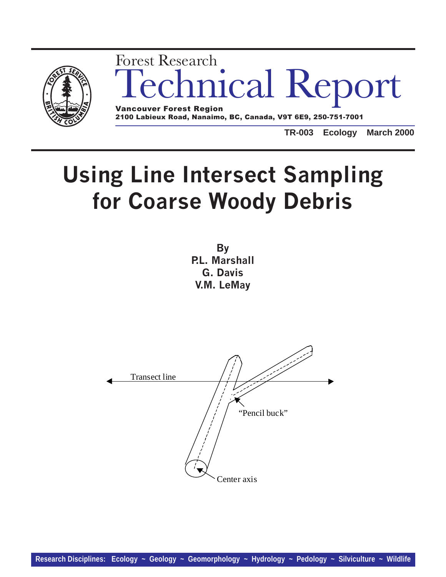

## nical Report Forest Research Vancouver Forest Region

2100 Labieux Road, Nanaimo, BC, Canada, V9T 6E9, 250-751-7001

**TR-003 Ecology March 2000**

# Using Line Intersect Sampling for Coarse Woody Debris

**By** P.L. Marshall G. Davis V.M. LeMay

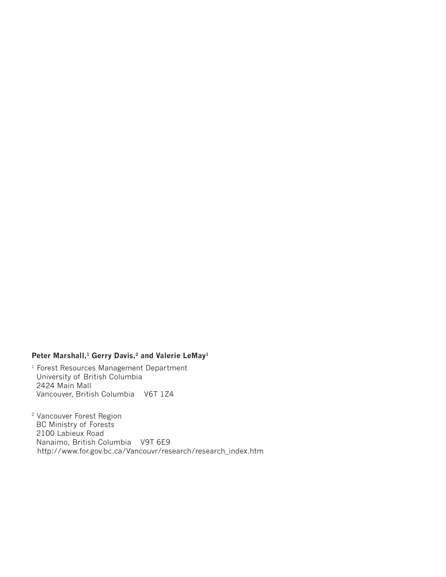### Peter Marshall,<sup>1</sup> Gerry Davis,<sup>2</sup> and Valerie LeMay<sup>1</sup>

1 Forest Resources Management Department University of British Columbia 2424 Main Mall Vancouver, British Columbia V6T 1Z4

2 Vancouver Forest Region BC Ministry of Forests 2100 Labieux Road Nanaimo, British Columbia V9T 6E9 http://www.for.gov.bc.ca/Vancouvr/research/research\_index.htm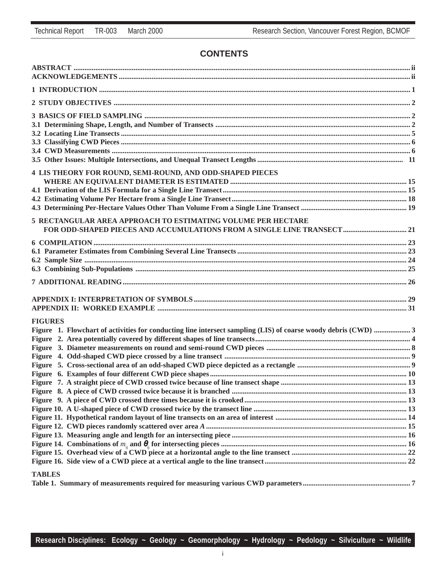## **CONTENTS**

| 4 LIS THEORY FOR ROUND, SEMI-ROUND, AND ODD-SHAPED PIECES                                                      |  |
|----------------------------------------------------------------------------------------------------------------|--|
|                                                                                                                |  |
|                                                                                                                |  |
|                                                                                                                |  |
|                                                                                                                |  |
| <b>5 RECTANGULAR AREA APPROACH TO ESTIMATING VOLUME PER HECTARE</b>                                            |  |
|                                                                                                                |  |
|                                                                                                                |  |
|                                                                                                                |  |
|                                                                                                                |  |
|                                                                                                                |  |
|                                                                                                                |  |
|                                                                                                                |  |
|                                                                                                                |  |
| <b>FIGURES</b>                                                                                                 |  |
| Figure 1. Flowchart of activities for conducting line intersect sampling (LIS) of coarse woody debris (CWD)  3 |  |
|                                                                                                                |  |
|                                                                                                                |  |
|                                                                                                                |  |
|                                                                                                                |  |
|                                                                                                                |  |
|                                                                                                                |  |
|                                                                                                                |  |
|                                                                                                                |  |
|                                                                                                                |  |
|                                                                                                                |  |
|                                                                                                                |  |
|                                                                                                                |  |
|                                                                                                                |  |
|                                                                                                                |  |
|                                                                                                                |  |
| <b>TABLES</b>                                                                                                  |  |
|                                                                                                                |  |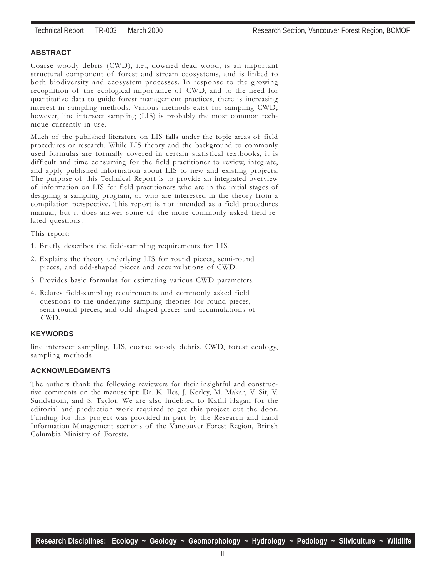#### **ABSTRACT**

Coarse woody debris (CWD), i.e., downed dead wood, is an important structural component of forest and stream ecosystems, and is linked to both biodiversity and ecosystem processes. In response to the growing recognition of the ecological importance of CWD, and to the need for quantitative data to guide forest management practices, there is increasing interest in sampling methods. Various methods exist for sampling CWD; however, line intersect sampling (LIS) is probably the most common technique currently in use.

Much of the published literature on LIS falls under the topic areas of field procedures or research. While LIS theory and the background to commonly used formulas are formally covered in certain statistical textbooks, it is difficult and time consuming for the field practitioner to review, integrate, and apply published information about LIS to new and existing projects. The purpose of this Technical Report is to provide an integrated overview of information on LIS for field practitioners who are in the initial stages of designing a sampling program, or who are interested in the theory from a compilation perspective. This report is not intended as a field procedures manual, but it does answer some of the more commonly asked field-related questions.

This report:

- 1. Briefly describes the field-sampling requirements for LIS.
- 2. Explains the theory underlying LIS for round pieces, semi-round pieces, and odd-shaped pieces and accumulations of CWD.
- 3. Provides basic formulas for estimating various CWD parameters.
- 4. Relates field-sampling requirements and commonly asked field questions to the underlying sampling theories for round pieces, semi-round pieces, and odd-shaped pieces and accumulations of CWD.

#### **KEYWORDS**

line intersect sampling, LIS, coarse woody debris, CWD, forest ecology, sampling methods

#### **ACKNOWLEDGMENTS**

The authors thank the following reviewers for their insightful and constructive comments on the manuscript: Dr. K. Iles, J. Kerley, M. Makar, V. Sit, V. Sundstrom, and S. Taylor. We are also indebted to Kathi Hagan for the editorial and production work required to get this project out the door. Funding for this project was provided in part by the Research and Land Information Management sections of the Vancouver Forest Region, British Columbia Ministry of Forests.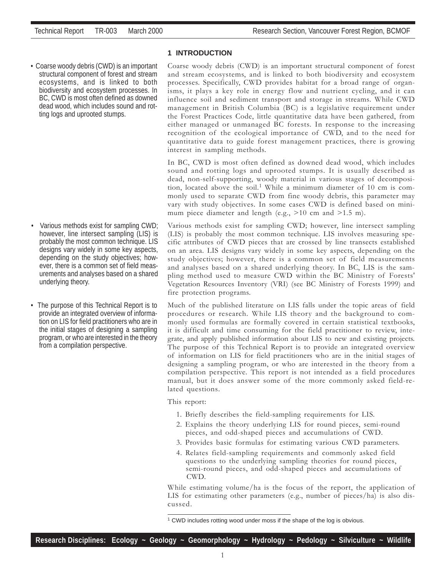• Coarse woody debris (CWD) is an important structural component of forest and stream ecosystems, and is linked to both biodiversity and ecosystem processes. In BC, CWD is most often defined as downed dead wood, which includes sound and rotting logs and uprooted stumps.

- Various methods exist for sampling CWD; however, line intersect sampling (LIS) is probably the most common technique. LIS designs vary widely in some key aspects, depending on the study objectives; however, there is a common set of field measurements and analyses based on a shared underlying theory.
- The purpose of this Technical Report is to provide an integrated overview of information on LIS for field practitioners who are in the initial stages of designing a sampling program, or who are interested in the theory from a compilation perspective.

#### **1 INTRODUCTION**

Coarse woody debris (CWD) is an important structural component of forest and stream ecosystems, and is linked to both biodiversity and ecosystem processes. Specifically, CWD provides habitat for a broad range of organisms, it plays a key role in energy flow and nutrient cycling, and it can influence soil and sediment transport and storage in streams. While CWD management in British Columbia (BC) is a legislative requirement under the Forest Practices Code, little quantitative data have been gathered, from either managed or unmanaged BC forests. In response to the increasing recognition of the ecological importance of CWD, and to the need for quantitative data to guide forest management practices, there is growing interest in sampling methods.

In BC, CWD is most often defined as downed dead wood, which includes sound and rotting logs and uprooted stumps. It is usually described as dead, non-self-supporting, woody material in various stages of decomposition, located above the soil.<sup>1</sup> While a minimum diameter of 10 cm is commonly used to separate CWD from fine woody debris, this parameter may vary with study objectives. In some cases CWD is defined based on minimum piece diameter and length (e.g.,  $>10$  cm and  $>1.5$  m).

Various methods exist for sampling CWD; however, line intersect sampling (LIS) is probably the most common technique. LIS involves measuring specific attributes of CWD pieces that are crossed by line transects established on an area. LIS designs vary widely in some key aspects, depending on the study objectives; however, there is a common set of field measurements and analyses based on a shared underlying theory. In BC, LIS is the sampling method used to measure CWD within the BC Ministry of Forests' Vegetation Resources Inventory (VRI) (see BC Ministry of Forests 1999) and fire protection programs.

Much of the published literature on LIS falls under the topic areas of field procedures or research. While LIS theory and the background to commonly used formulas are formally covered in certain statistical textbooks, it is difficult and time consuming for the field practitioner to review, integrate, and apply published information about LIS to new and existing projects. The purpose of this Technical Report is to provide an integrated overview of information on LIS for field practitioners who are in the initial stages of designing a sampling program, or who are interested in the theory from a compilation perspective. This report is not intended as a field procedures manual, but it does answer some of the more commonly asked field-related questions.

This report:

- 1. Briefly describes the field-sampling requirements for LIS.
- 2. Explains the theory underlying LIS for round pieces, semi-round pieces, and odd-shaped pieces and accumulations of CWD.
- 3. Provides basic formulas for estimating various CWD parameters.
- 4. Relates field-sampling requirements and commonly asked field questions to the underlying sampling theories for round pieces, semi-round pieces, and odd-shaped pieces and accumulations of CWD.

While estimating volume/ha is the focus of the report, the application of LIS for estimating other parameters (e.g., number of pieces/ha) is also discussed.

<sup>&</sup>lt;sup>1</sup> CWD includes rotting wood under moss if the shape of the log is obvious.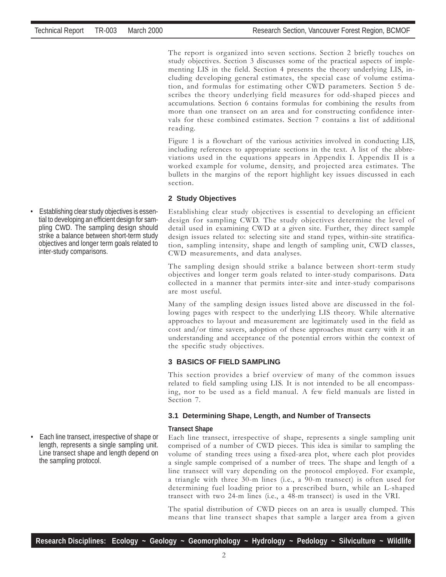The report is organized into seven sections. Section 2 briefly touches on study objectives. Section 3 discusses some of the practical aspects of implementing LIS in the field. Section 4 presents the theory underlying LIS, including developing general estimates, the special case of volume estimation, and formulas for estimating other CWD parameters. Section 5 describes the theory underlying field measures for odd-shaped pieces and accumulations. Section 6 contains formulas for combining the results from more than one transect on an area and for constructing confidence intervals for these combined estimates. Section 7 contains a list of additional reading.

Figure 1 is a flowchart of the various activities involved in conducting LIS, including references to appropriate sections in the text. A list of the abbreviations used in the equations appears in Appendix I. Appendix II is a worked example for volume, density, and projected area estimates. The bullets in the margins of the report highlight key issues discussed in each section.

#### **2 Study Objectives**

Establishing clear study objectives is essential to developing an efficient design for sampling CWD. The study objectives determine the level of detail used in examining CWD at a given site. Further, they direct sample design issues related to: selecting site and stand types, within-site stratification, sampling intensity, shape and length of sampling unit, CWD classes, CWD measurements, and data analyses.

The sampling design should strike a balance between short-term study objectives and longer term goals related to inter-study comparisons. Data collected in a manner that permits inter-site and inter-study comparisons are most useful.

Many of the sampling design issues listed above are discussed in the following pages with respect to the underlying LIS theory. While alternative approaches to layout and measurement are legitimately used in the field as cost and/or time savers, adoption of these approaches must carry with it an understanding and acceptance of the potential errors within the context of the specific study objectives.

#### **3 BASICS OF FIELD SAMPLING**

This section provides a brief overview of many of the common issues related to field sampling using LIS. It is not intended to be all encompassing, nor to be used as a field manual. A few field manuals are listed in Section 7.

#### **3.1 Determining Shape, Length, and Number of Transects**

#### **Transect Shape**

Each line transect, irrespective of shape, represents a single sampling unit comprised of a number of CWD pieces. This idea is similar to sampling the volume of standing trees using a fixed-area plot, where each plot provides a single sample comprised of a number of trees. The shape and length of a line transect will vary depending on the protocol employed. For example, a triangle with three 30-m lines (i.e., a 90-m transect) is often used for determining fuel loading prior to a prescribed burn, while an L-shaped transect with two 24-m lines (i.e., a 48-m transect) is used in the VRI.

The spatial distribution of CWD pieces on an area is usually clumped. This means that line transect shapes that sample a larger area from a given

• Establishing clear study objectives is essential to developing an efficient design for sampling CWD. The sampling design should strike a balance between short-term study objectives and longer term goals related to inter-study comparisons.

• Each line transect, irrespective of shape or length, represents a single sampling unit. Line transect shape and length depend on the sampling protocol.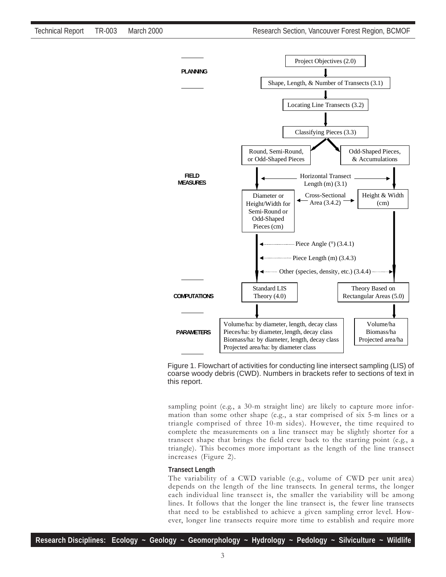

Figure 1. Flowchart of activities for conducting line intersect sampling (LIS) of coarse woody debris (CWD). Numbers in brackets refer to sections of text in this report.

sampling point (e.g., a 30-m straight line) are likely to capture more information than some other shape (e.g., a star comprised of six 5-m lines or a triangle comprised of three 10-m sides). However, the time required to complete the measurements on a line transect may be slightly shorter for a transect shape that brings the field crew back to the starting point (e.g., a triangle). This becomes more important as the length of the line transect increases (Figure 2).

#### **Transect Length**

The variability of a CWD variable (e.g., volume of CWD per unit area) depends on the length of the line transects. In general terms, the longer each individual line transect is, the smaller the variability will be among lines. It follows that the longer the line transect is, the fewer line transects that need to be established to achieve a given sampling error level. However, longer line transects require more time to establish and require more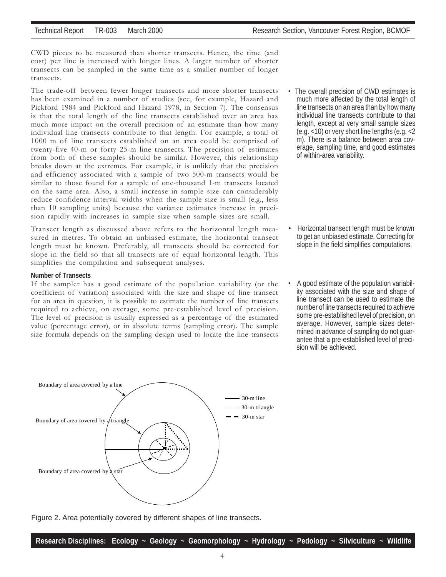CWD pieces to be measured than shorter transects. Hence, the time (and cost) per line is increased with longer lines. A larger number of shorter transects can be sampled in the same time as a smaller number of longer transects.

The trade-off between fewer longer transects and more shorter transects has been examined in a number of studies (see, for example, Hazard and Pickford 1984 and Pickford and Hazard 1978, in Section 7). The consensus is that the total length of the line transects established over an area has much more impact on the overall precision of an estimate than how many individual line transects contribute to that length. For example, a total of 1000 m of line transects established on an area could be comprised of twenty-five 40-m or forty 25-m line transects. The precision of estimates from both of these samples should be similar. However, this relationship breaks down at the extremes. For example, it is unlikely that the precision and efficiency associated with a sample of two 500-m transects would be similar to those found for a sample of one-thousand 1-m transects located on the same area. Also, a small increase in sample size can considerably reduce confidence interval widths when the sample size is small (e.g., less than 10 sampling units) because the variance estimates increase in precision rapidly with increases in sample size when sample sizes are small.

Transect length as discussed above refers to the horizontal length measured in metres. To obtain an unbiased estimate, the horizontal transect length must be known. Preferably, all transects should be corrected for slope in the field so that all transects are of equal horizontal length. This simplifies the compilation and subsequent analyses.

#### **Number of Transects**

If the sampler has a good estimate of the population variability (or the coefficient of variation) associated with the size and shape of line transect for an area in question, it is possible to estimate the number of line transects required to achieve, on average, some pre-established level of precision. The level of precision is usually expressed as a percentage of the estimated value (percentage error), or in absolute terms (sampling error). The sample size formula depends on the sampling design used to locate the line transects



Figure 2. Area potentially covered by different shapes of line transects.

The overall precision of CWD estimates is much more affected by the total length of line transects on an area than by how many individual line transects contribute to that length, except at very small sample sizes (e.g. <10) or very short line lengths (e.g. <2 m). There is a balance between area coverage, sampling time, and good estimates of within-area variability.

- Horizontal transect length must be known to get an unbiased estimate. Correcting for slope in the field simplifies computations.
- A good estimate of the population variability associated with the size and shape of line transect can be used to estimate the number of line transects required to achieve some pre-established level of precision, on average. However, sample sizes determined in advance of sampling do not guarantee that a pre-established level of precision will be achieved.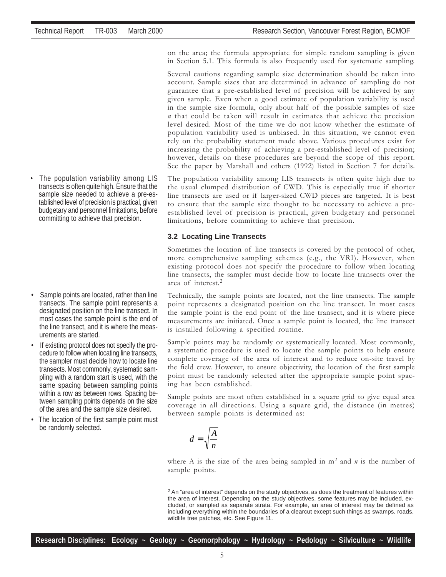on the area; the formula appropriate for simple random sampling is given in Section 5.1. This formula is also frequently used for systematic sampling.

Several cautions regarding sample size determination should be taken into account. Sample sizes that are determined in advance of sampling do not guarantee that a pre-established level of precision will be achieved by any given sample. Even when a good estimate of population variability is used in the sample size formula, only about half of the possible samples of size  $n$  that could be taken will result in estimates that achieve the precision level desired. Most of the time we do not know whether the estimate of population variability used is unbiased. In this situation, we cannot even rely on the probability statement made above. Various procedures exist for increasing the probability of achieving a pre-established level of precision; however, details on these procedures are beyond the scope of this report. See the paper by Marshall and others (1992) listed in Section 7 for details.

The population variability among LIS transects is often quite high due to the usual clumped distribution of CWD. This is especially true if shorter line transects are used or if larger-sized CWD pieces are targeted. It is best to ensure that the sample size thought to be necessary to achieve a preestablished level of precision is practical, given budgetary and personnel limitations, before committing to achieve that precision.

#### **3.2 Locating Line Transects**

Sometimes the location of line transects is covered by the protocol of other, more comprehensive sampling schemes (e.g., the VRI). However, when existing protocol does not specify the procedure to follow when locating line transects, the sampler must decide how to locate line transects over the area of interest.<sup>2</sup>

Technically, the sample points are located, not the line transects. The sample point represents a designated position on the line transect. In most cases the sample point is the end point of the line transect, and it is where piece measurements are initiated. Once a sample point is located, the line transect is installed following a specified routine.

Sample points may be randomly or systematically located. Most commonly, a systematic procedure is used to locate the sample points to help ensure complete coverage of the area of interest and to reduce on-site travel by the field crew. However, to ensure objectivity, the location of the first sample point must be randomly selected after the appropriate sample point spacing has been established.

Sample points are most often established in a square grid to give equal area coverage in all directions. Using a square grid, the distance (in metres) between sample points is determined as:

$$
d = \sqrt{\frac{A}{n}}
$$

where A is the size of the area being sampled in  $m<sup>2</sup>$  and n is the number of sample points.

• The population variability among LIS transects is often quite high. Ensure that the sample size needed to achieve a pre-established level of precision is practical, given budgetary and personnel limitations, before committing to achieve that precision.

- Sample points are located, rather than line transects. The sample point represents a designated position on the line transect. In most cases the sample point is the end of the line transect, and it is where the measurements are started.
- If existing protocol does not specify the procedure to follow when locating line transects, the sampler must decide how to locate line transects. Most commonly, systematic sampling with a random start is used, with the same spacing between sampling points within a row as between rows. Spacing between sampling points depends on the size of the area and the sample size desired.
- The location of the first sample point must be randomly selected.

 $2$  An "area of interest" depends on the study objectives, as does the treatment of features within the area of interest. Depending on the study objectives, some features may be included, excluded, or sampled as separate strata. For example, an area of interest may be defined as including everything within the boundaries of a clearcut except such things as swamps, roads, wildlife tree patches, etc. See Figure 11.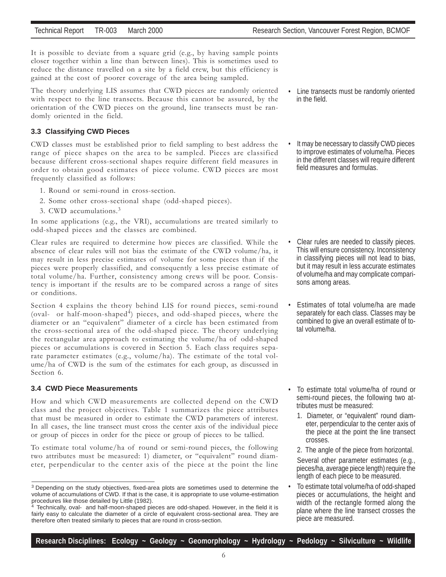It is possible to deviate from a square grid (e.g., by having sample points closer together within a line than between lines). This is sometimes used to reduce the distance travelled on a site by a field crew, but this efficiency is gained at the cost of poorer coverage of the area being sampled.

The theory underlying LIS assumes that CWD pieces are randomly oriented with respect to the line transects. Because this cannot be assured, by the orientation of the CWD pieces on the ground, line transects must be randomly oriented in the field.

#### **3.3 Classifying CWD Pieces**

CWD classes must be established prior to field sampling to best address the range of piece shapes on the area to be sampled. Pieces are classified because different cross-sectional shapes require different field measures in order to obtain good estimates of piece volume. CWD pieces are most frequently classified as follows:

- 1. Round or semi-round in cross-section.
- 2. Some other cross-sectional shape (odd-shaped pieces).
- 3. CWD accumulations.<sup>3</sup>

In some applications (e.g., the VRI), accumulations are treated similarly to odd-shaped pieces and the classes are combined.

Clear rules are required to determine how pieces are classified. While the absence of clear rules will not bias the estimate of the CWD volume/ha, it may result in less precise estimates of volume for some pieces than if the pieces were properly classified, and consequently a less precise estimate of total volume/ha. Further, consistency among crews will be poor. Consistency is important if the results are to be compared across a range of sites or conditions.

Section 4 explains the theory behind LIS for round pieces, semi-round (oval- or half-moon-shaped<sup>4</sup>) pieces, and odd-shaped pieces, where the diameter or an "equivalent" diameter of a circle has been estimated from the cross-sectional area of the odd-shaped piece. The theory underlying the rectangular area approach to estimating the volume/ha of odd-shaped pieces or accumulations is covered in Section 5. Each class requires separate parameter estimates (e.g., volume/ha). The estimate of the total volume/ha of CWD is the sum of the estimates for each group, as discussed in Section 6.

#### **3.4 CWD Piece Measurements**

How and which CWD measurements are collected depend on the CWD class and the project objectives. Table 1 summarizes the piece attributes that must be measured in order to estimate the CWD parameters of interest. In all cases, the line transect must cross the center axis of the individual piece or group of pieces in order for the piece or group of pieces to be tallied.

To estimate total volume/ha of round or semi-round pieces, the following two attributes must be measured: 1) diameter, or "equivalent" round diameter, perpendicular to the center axis of the piece at the point the line

- Line transects must be randomly oriented in the field.
- It may be necessary to classify CWD pieces to improve estimates of volume/ha. Pieces in the different classes will require different field measures and formulas.

- Clear rules are needed to classify pieces. This will ensure consistency. Inconsistency in classifying pieces will not lead to bias, but it may result in less accurate estimates of volume/ha and may complicate comparisons among areas.
- Estimates of total volume/ha are made separately for each class. Classes may be combined to give an overall estimate of total volume/ha.
- To estimate total volume/ha of round or semi-round pieces, the following two attributes must be measured:
	- 1. Diameter, or "equivalent" round diameter, perpendicular to the center axis of the piece at the point the line transect crosses.
	- 2. The angle of the piece from horizontal.

Several other parameter estimates (e.g., pieces/ha, average piece length) require the length of each piece to be measured.

• To estimate total volume/ha of odd-shaped pieces or accumulations, the height and width of the rectangle formed along the plane where the line transect crosses the piece are measured.

<sup>&</sup>lt;sup>3</sup> Depending on the study objectives, fixed-area plots are sometimes used to determine the volume of accumulations of CWD. If that is the case, it is appropriate to use volume-estimation procedures like those detailed by Little (1982).

 $4$  Technically, oval- and half-moon-shaped pieces are odd-shaped. However, in the field it is fairly easy to calculate the diameter of a circle of equivalent cross-sectional area. They are therefore often treated similarly to pieces that are round in cross-section.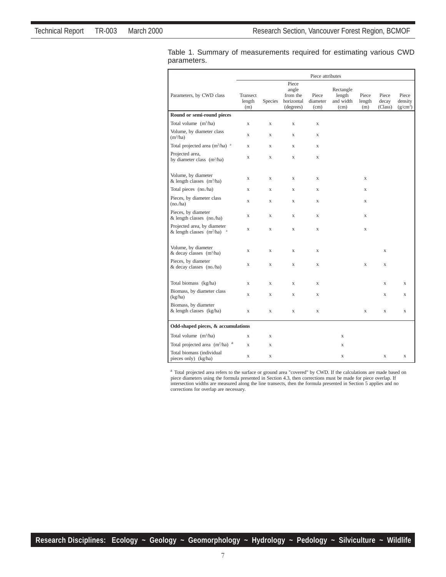|                                                                 | Piece attributes          |                |                                                       |                                        |                                          |                        |                           |                                |
|-----------------------------------------------------------------|---------------------------|----------------|-------------------------------------------------------|----------------------------------------|------------------------------------------|------------------------|---------------------------|--------------------------------|
| Parameters, by CWD class                                        | Transect<br>length<br>(m) | <b>Species</b> | Piece<br>angle<br>from the<br>horizontal<br>(degrees) | Piece<br>diameter<br>(c <sub>m</sub> ) | Rectangle<br>length<br>and width<br>(cm) | Piece<br>length<br>(m) | Piece<br>decay<br>(Class) | Piece<br>density<br>$(g/cm^3)$ |
| Round or semi-round pieces                                      |                           |                |                                                       |                                        |                                          |                        |                           |                                |
| Total volume $(m^3/ha)$                                         | X                         | X              | X                                                     | $\mathbf X$                            |                                          |                        |                           |                                |
| Volume, by diameter class<br>(m <sup>3</sup> /ha)               | X                         | X              | X                                                     | X                                      |                                          |                        |                           |                                |
| Total projected area $(m^2/ha)^{-a}$                            | X                         | X              | X                                                     | X                                      |                                          |                        |                           |                                |
| Projected area,<br>by diameter class (m <sup>2</sup> /ha)       | X                         | X              | X                                                     | X                                      |                                          |                        |                           |                                |
| Volume, by diameter<br>& length classes $(m^3/ha)$              | X                         | $\mathbf X$    | X                                                     | X                                      |                                          | X                      |                           |                                |
| Total pieces (no./ha)                                           | $\mathbf X$               | $\mathbf X$    | $\mathbf X$                                           | $\mathbf X$                            |                                          | X                      |                           |                                |
| Pieces, by diameter class<br>(no.ha)                            | X                         | $\mathbf X$    | $\mathbf X$                                           | $\mathbf X$                            |                                          | X                      |                           |                                |
| Pieces, by diameter<br>$&$ length classes (no./ha)              | X                         | X              | X                                                     | X                                      |                                          | X                      |                           |                                |
| Projected area, by diameter<br>& length classes $(m^2/ha)^{-a}$ | $\mathbf X$               | $\mathbf X$    | $\mathbf X$                                           | $\mathbf X$                            |                                          | X                      |                           |                                |
| Volume, by diameter<br>& decay classes (m <sup>3</sup> /ha)     | $\mathbf X$               | $\mathbf X$    | $\mathbf x$                                           | $\mathbf X$                            |                                          |                        | X                         |                                |
| Pieces, by diameter<br>& decay classes (no./ha)                 | $\mathbf X$               | $\mathbf X$    | X                                                     | $\mathbf X$                            |                                          | X                      | X                         |                                |
| Total biomass (kg/ha)                                           | X                         | X              | X                                                     | $\mathbf x$                            |                                          |                        | X                         | $\mathbf x$                    |
| Biomass, by diameter class<br>(kg/ha)                           | $\bar{X}$                 | X              | X                                                     | $\mathbf x$                            |                                          |                        | $\mathbf x$               | $\mathbf x$                    |
| Biomass, by diameter<br>& length classes (kg/ha)                | X                         | X              | X                                                     | $\mathbf X$                            |                                          | X                      | $\mathbf x$               | $\mathbf x$                    |
| Odd-shaped pieces, & accumulations                              |                           |                |                                                       |                                        |                                          |                        |                           |                                |
| Total volume $(m^3/ha)$                                         | X                         | X              |                                                       |                                        | X                                        |                        |                           |                                |
| Total projected area $(m^2/ha)^{-a}$                            | X                         | X              |                                                       |                                        | X                                        |                        |                           |                                |
| Total biomass (individual<br>pieces only) (kg/ha)               | X                         | X              |                                                       |                                        | X                                        |                        | $\mathbf X$               | X                              |

Table 1. Summary of measurements required for estimating various CWD parameters.

<sup>a</sup> Total projected area refers to the surface or ground area "covered" by CWD. If the calculations are made based on piece diameters using the formula presented in Section 4.3, then corrections must be made for piece over corrections for overlap are necessary.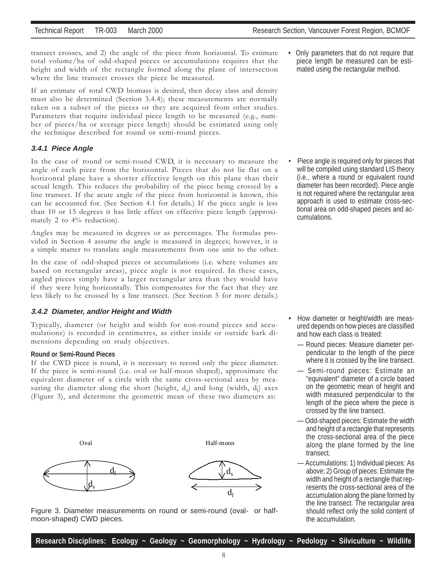transect crosses, and 2) the angle of the piece from horizontal. To estimate total volume/ha of odd-shaped pieces or accumulations requires that the height and width of the rectangle formed along the plane of intersection where the line transect crosses the piece be measured.

If an estimate of total CWD biomass is desired, then decay class and density must also be determined (Section 3.4.4); these measurements are normally taken on a subset of the pieces or they are acquired from other studies. Parameters that require individual piece length to be measured (e.g., number of pieces/ha or average piece length) should be estimated using only the technique described for round or semi-round pieces.

#### **3.4.1 Piece Angle**

In the case of round or semi-round CWD, it is necessary to measure the angle of each piece from the horizontal. Pieces that do not lie flat on a horizontal plane have a shorter effective length on this plane than their actual length. This reduces the probability of the piece being crossed by a line transect. If the acute angle of the piece from horizontal is known, this can be accounted for. (See Section 4.1 for details.) If the piece angle is less than 10 or 15 degrees it has little effect on effective piece length (approximately 2 to 4% reduction).

Angles may be measured in degrees or as percentages. The formulas provided in Section 4 assume the angle is measured in degrees; however, it is a simple matter to translate angle measurements from one unit to the other.

In the case of odd-shaped pieces or accumulations (i.e. where volumes are based on rectangular areas), piece angle is not required. In these cases, angled pieces simply have a larger rectangular area than they would have if they were lying horizontally. This compensates for the fact that they are less likely to be crossed by a line transect. (See Section 5 for more details.)

#### **3.4.2 Diameter, and/or Height and Width**

Typically, diameter (or height and width for non-round pieces and accumulations) is recorded in centimetres, as either inside or outside bark dimensions depending on study objectives.

#### **Round or Semi-Round Pieces**

If the CWD piece is round, it is necessary to record only the piece diameter. If the piece is semi-round (i.e. oval or half-moon shaped), approximate the equivalent diameter of a circle with the same cross-sectional area by measuring the diameter along the short (height,  $d_s$ ) and long (width,  $d_l$ ) axes (Figure 3), and determine the geometric mean of these two diameters as:





**•** Only parameters that do not require that piece length be measured can be estimated using the rectangular method.

• Piece angle is required only for pieces that will be compiled using standard LIS theory (i.e., where a round or equivalent round diameter has been recorded). Piece angle is not required where the rectangular area approach is used to estimate cross-sectional area on odd-shaped pieces and accumulations.

- **•** How diameter or height/width are measured depends on how pieces are classified and how each class is treated:
	- Round pieces: Measure diameter perpendicular to the length of the piece where it is crossed by the line transect.
	- Semi-round pieces: Estimate an "equivalent" diameter of a circle based on the geometric mean of height and width measured perpendicular to the length of the piece where the piece is crossed by the line transect.
	- Odd-shaped pieces: Estimate the width and height of a rectangle that represents the cross-sectional area of the piece along the plane formed by the line transect.
	- Accumulations: 1) Individual pieces: As above; 2) Group of pieces: Estimate the width and height of a rectangle that represents the cross-sectional area of the accumulation along the plane formed by the line transect. The rectangular area should reflect only the solid content of the accumulation.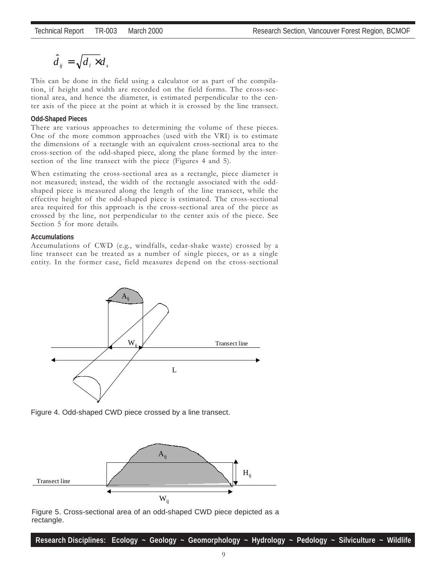$$
\hat{d}_{ij} = \sqrt{d_i \times d_s}
$$

This can be done in the field using a calculator or as part of the compilation, if height and width are recorded on the field forms. The cross-sectional area, and hence the diameter, is estimated perpendicular to the center axis of the piece at the point at which it is crossed by the line transect.

#### **Odd-Shaped Pieces**

There are various approaches to determining the volume of these pieces. One of the more common approaches (used with the VRI) is to estimate the dimensions of a rectangle with an equivalent cross-sectional area to the cross-section of the odd-shaped piece, along the plane formed by the intersection of the line transect with the piece (Figures 4 and 5).

When estimating the cross-sectional area as a rectangle, piece diameter is not measured; instead, the width of the rectangle associated with the oddshaped piece is measured along the length of the line transect, while the effective height of the odd-shaped piece is estimated. The cross-sectional area required for this approach is the cross-sectional area of the piece as crossed by the line, not perpendicular to the center axis of the piece. See Section 5 for more details.

#### **Accumulations**

Accumulations of CWD (e.g., windfalls, cedar-shake waste) crossed by a line transect can be treated as a number of single pieces, or as a single entity. In the former case, field measures depend on the cross-sectional







Figure 5. Cross-sectional area of an odd-shaped CWD piece depicted as a rectangle.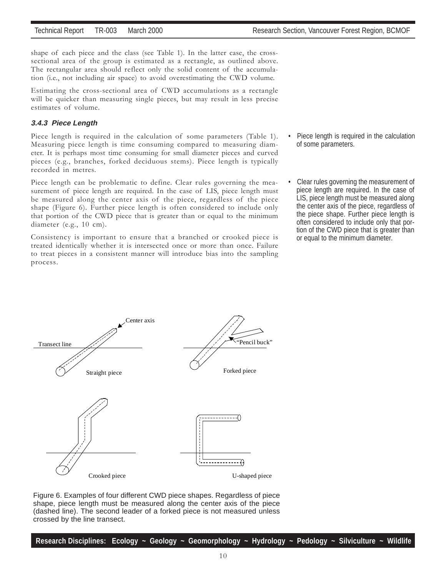shape of each piece and the class (see Table 1). In the latter case, the crosssectional area of the group is estimated as a rectangle, as outlined above. The rectangular area should reflect only the solid content of the accumulation (i.e., not including air space) to avoid overestimating the CWD volume.

Estimating the cross-sectional area of CWD accumulations as a rectangle will be quicker than measuring single pieces, but may result in less precise estimates of volume.

#### **3.4.3 Piece Length**

Piece length is required in the calculation of some parameters (Table 1). Measuring piece length is time consuming compared to measuring diameter. It is perhaps most time consuming for small diameter pieces and curved pieces (e.g., branches, forked deciduous stems). Piece length is typically recorded in metres.

Piece length can be problematic to define. Clear rules governing the measurement of piece length are required. In the case of LIS, piece length must be measured along the center axis of the piece, regardless of the piece shape (Figure 6). Further piece length is often considered to include only that portion of the CWD piece that is greater than or equal to the minimum diameter (e.g., 10 cm).

Consistency is important to ensure that a branched or crooked piece is treated identically whether it is intersected once or more than once. Failure to treat pieces in a consistent manner will introduce bias into the sampling process.

- Piece length is required in the calculation of some parameters.
- Clear rules governing the measurement of piece length are required. In the case of LIS, piece length must be measured along the center axis of the piece, regardless of the piece shape. Further piece length is often considered to include only that portion of the CWD piece that is greater than or equal to the minimum diameter.



Figure 6. Examples of four different CWD piece shapes. Regardless of piece shape, piece length must be measured along the center axis of the piece (dashed line). The second leader of a forked piece is not measured unless crossed by the line transect.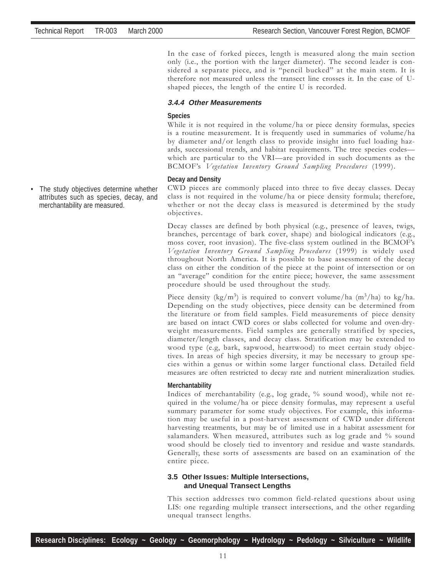In the case of forked pieces, length is measured along the main section only (i.e., the portion with the larger diameter). The second leader is considered a separate piece, and is "pencil bucked" at the main stem. It is therefore not measured unless the transect line crosses it. In the case of Ushaped pieces, the length of the entire U is recorded.

#### **3.4.4 Other Measurements**

#### **Species**

While it is not required in the volume/ha or piece density formulas, species is a routine measurement. It is frequently used in summaries of volume/ha by diameter and/or length class to provide insight into fuel loading hazards, successional trends, and habitat requirements. The tree species codes which are particular to the VRI—are provided in such documents as the BCMOF's Vegetation Inventory Ground Sampling Procedures (1999).

#### **Decay and Density**

CWD pieces are commonly placed into three to five decay classes. Decay class is not required in the volume/ha or piece density formula; therefore, whether or not the decay class is measured is determined by the study objectives.

Decay classes are defined by both physical (e.g., presence of leaves, twigs, branches, percentage of bark cover, shape) and biological indicators (e.g., moss cover, root invasion). The five-class system outlined in the BCMOFís Vegetation Inventory Ground Sampling Procedures (1999) is widely used throughout North America. It is possible to base assessment of the decay class on either the condition of the piece at the point of intersection or on an "average" condition for the entire piece; however, the same assessment procedure should be used throughout the study.

Piece density (kg/m<sup>3</sup>) is required to convert volume/ha  $(m^3/ha)$  to kg/ha. Depending on the study objectives, piece density can be determined from the literature or from field samples. Field measurements of piece density are based on intact CWD cores or slabs collected for volume and oven-dryweight measurements. Field samples are generally stratified by species, diameter/length classes, and decay class. Stratification may be extended to wood type (e.g, bark, sapwood, heartwood) to meet certain study objectives. In areas of high species diversity, it may be necessary to group species within a genus or within some larger functional class. Detailed field measures are often restricted to decay rate and nutrient mineralization studies.

#### **Merchantability**

Indices of merchantability (e.g., log grade, % sound wood), while not required in the volume/ha or piece density formulas, may represent a useful summary parameter for some study objectives. For example, this information may be useful in a post-harvest assessment of CWD under different harvesting treatments, but may be of limited use in a habitat assessment for salamanders. When measured, attributes such as log grade and % sound wood should be closely tied to inventory and residue and waste standards. Generally, these sorts of assessments are based on an examination of the entire piece.

#### **3.5 Other Issues: Multiple Intersections, and Unequal Transect Lengths**

This section addresses two common field-related questions about using LIS: one regarding multiple transect intersections, and the other regarding unequal transect lengths.

• The study objectives determine whether attributes such as species, decay, and merchantability are measured.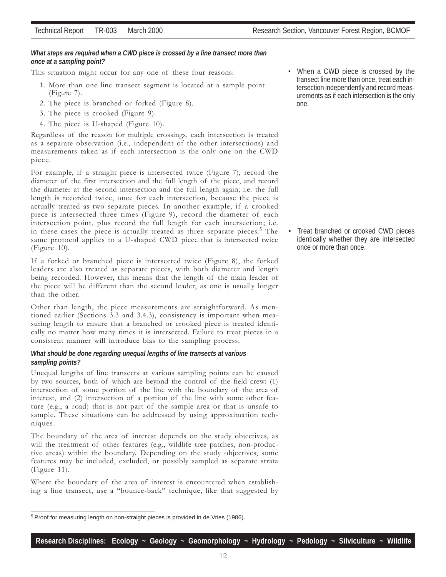This situation might occur for any one of these four reasons:

- 1. More than one line transect segment is located at a sample point (Figure 7).
- 2. The piece is branched or forked (Figure 8).
- 3. The piece is crooked (Figure 9).
- 4. The piece is U-shaped (Figure 10).

Regardless of the reason for multiple crossings, each intersection is treated as a separate observation (i.e., independent of the other intersections) and measurements taken as if each intersection is the only one on the CWD piece.

For example, if a straight piece is intersected twice (Figure 7), record the diameter of the first intersection and the full length of the piece, and record the diameter at the second intersection and the full length again; i.e. the full length is recorded twice, once for each intersection, because the piece is actually treated as two separate pieces. In another example, if a crooked piece is intersected three times (Figure 9), record the diameter of each intersection point, plus record the full length for each intersection; i.e. in these cases the piece is actually treated as three separate pieces.<sup>5</sup> The same protocol applies to a U-shaped CWD piece that is intersected twice (Figure 10).

If a forked or branched piece is intersected twice (Figure 8), the forked leaders are also treated as separate pieces, with both diameter and length being recorded. However, this means that the length of the main leader of the piece will be different than the second leader, as one is usually longer than the other.

Other than length, the piece measurements are straightforward. As mentioned earlier (Sections 3.3 and 3.4.3), consistency is important when measuring length to ensure that a branched or crooked piece is treated identically no matter how many times it is intersected. Failure to treat pieces in a consistent manner will introduce bias to the sampling process.

#### *What should be done regarding unequal lengths of line transects at various sampling points?*

Unequal lengths of line transects at various sampling points can be caused by two sources, both of which are beyond the control of the field crew: (1) intersection of some portion of the line with the boundary of the area of interest, and (2) intersection of a portion of the line with some other feature (e.g., a road) that is not part of the sample area or that is unsafe to sample. These situations can be addressed by using approximation techniques.

The boundary of the area of interest depends on the study objectives, as will the treatment of other features (e.g., wildlife tree patches, non-productive areas) within the boundary. Depending on the study objectives, some features may be included, excluded, or possibly sampled as separate strata (Figure 11).

Where the boundary of the area of interest is encountered when establishing a line transect, use a "bounce-back" technique, like that suggested by

**Research Disciplines: Ecology ~ Geology ~ Geomorphology ~ Hydrology ~ Pedology ~ Silviculture ~ Wildlife**

• Treat branched or crooked CWD pieces identically whether they are intersected once or more than once.

<sup>5</sup> Proof for measuring length on non-straight pieces is provided in de Vries (1986).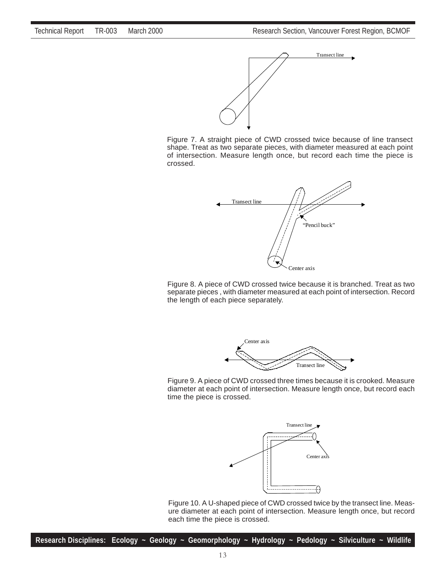

Figure 7. A straight piece of CWD crossed twice because of line transect shape. Treat as two separate pieces, with diameter measured at each point of intersection. Measure length once, but record each time the piece is crossed.



Figure 8. A piece of CWD crossed twice because it is branched. Treat as two separate pieces , with diameter measured at each point of intersection. Record the length of each piece separately.



Figure 9. A piece of CWD crossed three times because it is crooked. Measure diameter at each point of intersection. Measure length once, but record each time the piece is crossed.



Figure 10. A U-shaped piece of CWD crossed twice by the transect line. Measure diameter at each point of intersection. Measure length once, but record each time the piece is crossed.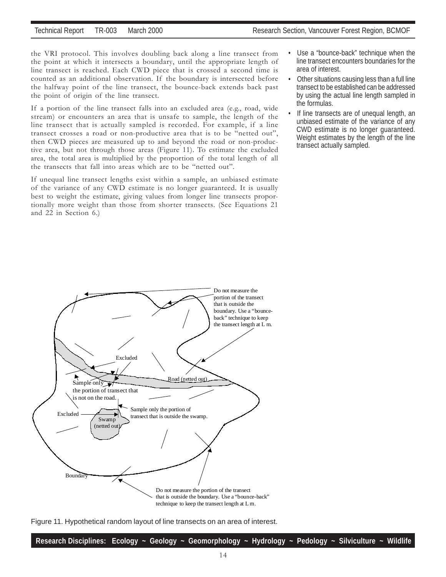the VRI protocol. This involves doubling back along a line transect from the point at which it intersects a boundary, until the appropriate length of line transect is reached. Each CWD piece that is crossed a second time is counted as an additional observation. If the boundary is intersected before the halfway point of the line transect, the bounce-back extends back past the point of origin of the line transect.

If a portion of the line transect falls into an excluded area (e.g., road, wide stream) or encounters an area that is unsafe to sample, the length of the line transect that is actually sampled is recorded. For example, if a line transect crosses a road or non-productive area that is to be "netted out", then CWD pieces are measured up to and beyond the road or non-productive area, but not through those areas (Figure 11). To estimate the excluded area, the total area is multiplied by the proportion of the total length of all the transects that fall into areas which are to be "netted out".

If unequal line transect lengths exist within a sample, an unbiased estimate of the variance of any CWD estimate is no longer guaranteed. It is usually best to weight the estimate, giving values from longer line transects proportionally more weight than those from shorter transects. (See Equations 21 and 22 in Section 6.)

- Use a "bounce-back" technique when the line transect encounters boundaries for the area of interest.
- Other situations causing less than a full line transect to be established can be addressed by using the actual line length sampled in the formulas.
- If line transects are of unequal length, an unbiased estimate of the variance of any CWD estimate is no longer guaranteed. Weight estimates by the length of the line transect actually sampled.



Figure 11. Hypothetical random layout of line transects on an area of interest.

| Research Disciplines: Ecology ~ Geology ~ Geomorphology ~ Hydrology ~ Pedology ~ Silviculture ~ Wildlife |  |  |  |  |
|----------------------------------------------------------------------------------------------------------|--|--|--|--|
|                                                                                                          |  |  |  |  |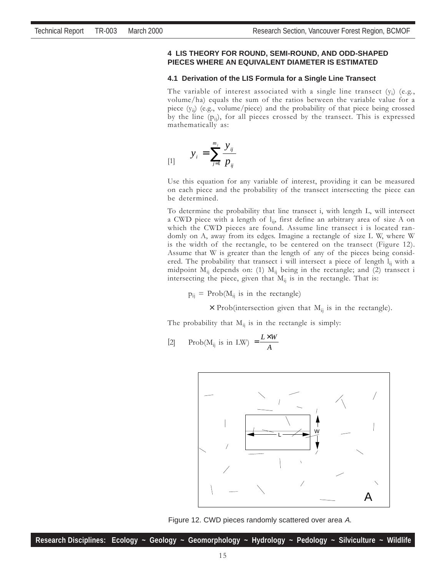#### **4 LIS THEORY FOR ROUND, SEMI-ROUND, AND ODD-SHAPED PIECES WHERE AN EQUIVALENT DIAMETER IS ESTIMATED**

#### **4.1 Derivation of the LIS Formula for a Single Line Transect**

The variable of interest associated with a single line transect  $(y_i)$  (e.g., volume/ha) equals the sum of the ratios between the variable value for a piece (yij) (e.g., volume/piece) and the probability of that piece being crossed by the line  $(p_{ii})$ , for all pieces crossed by the transect. This is expressed mathematically as:

$$
y_i = \sum_{j=1}^{m_j} \frac{y_{ij}}{p_{ij}}
$$

Use this equation for any variable of interest, providing it can be measured on each piece and the probability of the transect intersecting the piece can be determined.

To determine the probability that line transect i, with length L, will intersect a CWD piece with a length of  $l_{ij}$ , first define an arbitrary area of size A on which the CWD pieces are found. Assume line transect i is located randomly on A, away from its edges. Imagine a rectangle of size L W, where W is the width of the rectangle, to be centered on the transect (Figure 12). Assume that W is greater than the length of any of the pieces being considered. The probability that transect i will intersect a piece of length  $l_{ii}$  with a midpoint  $M_{ii}$  depends on: (1)  $M_{ii}$  being in the rectangle; and (2) transect i intersecting the piece, given that  $M_{ii}$  is in the rectangle. That is:

 $p_{ii}$  = Prob( $M_{ii}$  is in the rectangle)

 $\times$  Prob(intersection given that  $M_{ij}$  is in the rectangle).

The probability that  $M_{ij}$  is in the rectangle is simply:

[2] Prob(M<sub>ij</sub> is in LW) = 
$$
\frac{L \times W}{A}
$$



Figure 12. CWD pieces randomly scattered over area A.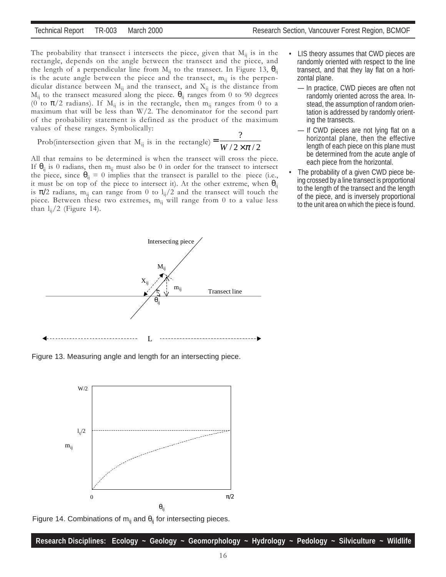ing the transects.

The probability that transect i intersects the piece, given that  $M_{ii}$  is in the rectangle, depends on the angle between the transect and the piece, and the length of a perpendicular line from  $M_{ii}$  to the transect. In Figure 13,  $\theta_{ii}$ is the acute angle between the piece and the transect,  $m_{ii}$  is the perpendicular distance between  $M_{ij}$  and the transect, and  $X_{ij}$  is the distance from  $M_{ij}$  to the transect measured along the piece.  $\theta_{ij}$  ranges from 0 to 90 degrees (0 to  $\pi/2$  radians). If  $M_{ij}$  is in the rectangle, then  $m_{ij}$  ranges from 0 to a maximum that will be less than W/2. The denominator for the second part of the probability statement is defined as the product of the maximum values of these ranges. Symbolically:

Prob(intersection given that M<sub>ij</sub> is in the rectangle)  $=\frac{W}{2 \times \pi/2}$  $=\frac{?}{W/2 \times \pi}$ 

All that remains to be determined is when the transect will cross the piece. If  $\theta_{ii}$  is 0 radians, then m<sub>ij</sub> must also be 0 in order for the transect to intersect the piece, since  $\theta_{ij} = 0$  implies that the transect is parallel to the piece (i.e., it must be on top of the piece to intersect it). At the other extreme, when  $\theta_{ii}$ is  $\pi/2$  radians, m<sub>ij</sub> can range from 0 to l<sub>ij</sub>/2 and the transect will touch the piece. Between these two extremes,  $m_{ii}$  will range from 0 to a value less than  $l_{ii}/2$  (Figure 14).



— If CWD pieces are not lying flat on a horizontal plane, then the effective length of each piece on this plane must be determined from the acute angle of each piece from the horizontal.

• LIS theory assumes that CWD pieces are randomly oriented with respect to the line

The probability of a given CWD piece being crossed by a line transect is proportional to the length of the transect and the length of the piece, and is inversely proportional to the unit area on which the piece is found.



Figure 13. Measuring angle and length for an intersecting piece.



Figure 14. Combinations of m<sub>ij</sub> and  $\theta_{ij}$  for intersecting pieces.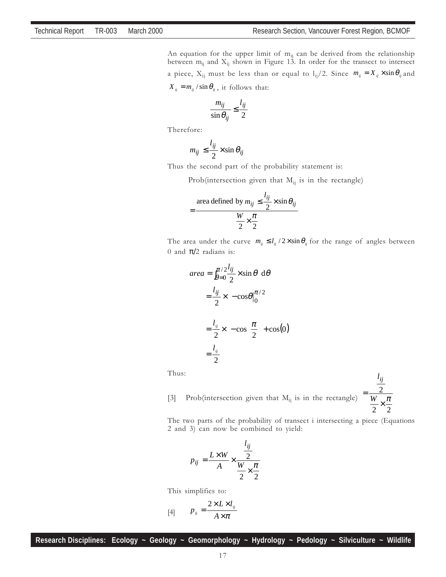An equation for the upper limit of  $m_{ij}$  can be derived from the relationship between  $m_{ij}$  and  $X_{ij}$  shown in Figure 13. In order for the transect to intersect a piece,  $X_{ij}$  must be less than or equal to  $l_{ij}/2$ . Since  $m_{ij} = X_{ij} \times \sin \theta_{ij}$  and  $X_{ij} = m_{ij} / \sin \theta_{ij}$ , it follows that:

$$
\frac{m_{ij}}{\sin \theta_{ij}} \le \frac{l_{ij}}{2}
$$

Therefore:

$$
m_{ij} \le \frac{l_{ij}}{2} \times \sin \theta_{ij}
$$

Thus the second part of the probability statement is:

Prob(intersection given that  $M_{ii}$  is in the rectangle)

$$
= \frac{\text{area defined by } m_{ij} \le \frac{l_{ij}}{2} \times \sin \theta_{ij}}{\frac{W}{2} \times \frac{\pi}{2}}
$$

The area under the curve  $m_{ij} \leq l_{ij} / 2 \times \sin \theta_{ij}$  for the range of angles between 0 and  $\pi/2$  radians is:

> Ί  $\overline{\phantom{a}}$

$$
area = \int_{\theta=0}^{\pi/2} \frac{l_{ij}}{2} \times \sin \theta \ d\theta
$$
  
=  $\frac{l_{ij}}{2} \times \left[ -\cos \theta \Big|_0^{\pi/2} \right]$   
=  $\frac{l_{ij}}{2} \times \left[ -\cos \left( \frac{\pi}{2} \right) + \cos(0) \right]$   
=  $\frac{l_{ij}}{2}$ 

Thus:

[3] Prob(intersection given that  $M_{ij}$  is in the rectangle) 2 2  $=\frac{2}{W} \times \frac{\pi}{2}$ 

The two parts of the probability of transect i intersecting a piece (Equations 2 and 3) can now be combined to yield:

2

*lij*

$$
p_{ij} = \frac{L \times W}{A} \times \frac{\frac{l_{ij}}{2}}{\frac{W}{2} \times \frac{\pi}{2}}
$$

This simplifies to:

$$
[4] \qquad p_{ij} = \frac{2 \times L \times l_{ij}}{A \times \pi}
$$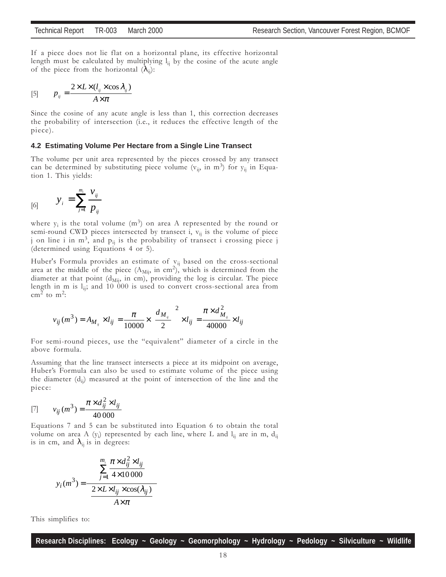If a piece does not lie flat on a horizontal plane, its effective horizontal length must be calculated by multiplying  $l_{ii}$  by the cosine of the acute angle of the piece from the horizontal  $(\lambda_{ii})$ :

$$
[5] \qquad p_{ij} = \frac{2 \times L \times (l_{ij} \times \cos \lambda_{ij})}{A \times \pi}
$$

Since the cosine of any acute angle is less than 1, this correction decreases the probability of intersection (i.e., it reduces the effective length of the piece).

#### **4.2 Estimating Volume Per Hectare from a Single Line Transect**

The volume per unit area represented by the pieces crossed by any transect can be determined by substituting piece volume  $(v_{ij}, in m^3)$  for  $y_{ij}$  in Equation 1. This yields:

$$
y_i = \sum_{j=1}^{m_i} \frac{v_{ij}}{p_{ij}}
$$

where  $y_i$  is the total volume  $(m^3)$  on area A represented by the round or semi-round CWD pieces intersected by transect i,  $v_{ii}$  is the volume of piece j on line i in  $m^3$ , and  $p_{ij}$  is the probability of transect i crossing piece j (determined using Equations 4 or 5).

Huber's Formula provides an estimate of  $v_{ij}$  based on the cross-sectional area at the middle of the piece  $(A_{\text{Mij}})$  in cm<sup>2</sup>), which is determined from the diameter at that point ( $d_{\text{Mij}}$ , in cm), providing the log is circular. The piece length in m is  $l_{ij}$ ; and 10 000 is used to convert cross-sectional area from cm<sup>2</sup> to m<sup>2</sup>:

$$
v_{ij}(m^3) = A_{M_{ij}} \times l_{ij} = \frac{\pi}{10000} \times \left(\frac{d_{M_{ij}}}{2}\right)^2 \times l_{ij} = \frac{\pi \times d_{M_{ij}}^2}{40000} \times l_{ij}
$$

For semi-round pieces, use the "equivalent" diameter of a circle in the above formula.

Assuming that the line transect intersects a piece at its midpoint on average, Huber's Formula can also be used to estimate volume of the piece using the diameter  $(d_{ii})$  measured at the point of intersection of the line and the piece:

[7] 
$$
v_{ij}(m^3) = \frac{\pi \times d_{ij}^2 \times l_{ij}}{40\,000}
$$

Equations 7 and 5 can be substituted into Equation 6 to obtain the total volume on area A  $(y_i)$  represented by each line, where L and  $l_{ij}$  are in m,  $d_{ij}$ is in cm, and  $\lambda_{ij}$  is in degrees:

$$
y_i(m^3) = \frac{\left(\sum_{j=1}^{m_i} \frac{\pi \times d_{ij}^2 \times l_{ij}}{4 \times 10000}\right)}{\left(\frac{2 \times L \times l_{ij} \times \cos(\lambda_{ij})}{A \times \pi}\right)}
$$

This simplifies to: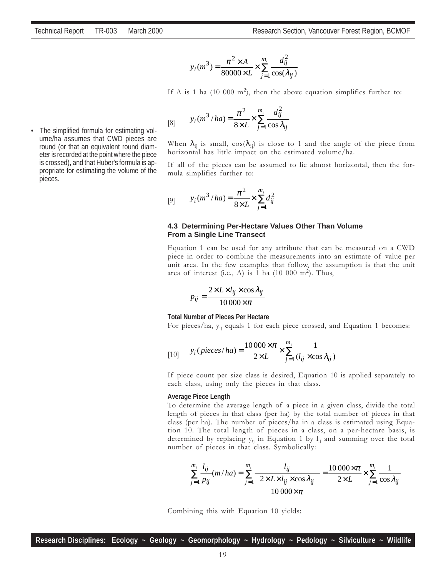$$
y_i(m^3) = \frac{\pi^2 \times A}{80000 \times L} \times \sum_{j=1}^{m_i} \frac{d_{ij}^2}{\cos(\lambda_{ij})}
$$

If A is 1 ha (10 000 m<sup>2</sup>), then the above equation simplifies further to:

[8] 
$$
y_i(m^3/ha) = \frac{\pi^2}{8 \times L} \times \sum_{j=1}^{m_i} \frac{d_{ij}^2}{\cos \lambda_{ij}}
$$

When  $\lambda_{ii}$  is small,  $cos(\lambda_{ii})$  is close to 1 and the angle of the piece from horizontal has little impact on the estimated volume/ha.

If all of the pieces can be assumed to lie almost horizontal, then the formula simplifies further to:

[9] 
$$
y_i(m^3/ha) = \frac{\pi^2}{8 \times L} \times \sum_{j=1}^{m_i} d_{ij}^2
$$

#### **4.3 Determining Per-Hectare Values Other Than Volume From a Single Line Transect**

Equation 1 can be used for any attribute that can be measured on a CWD piece in order to combine the measurements into an estimate of value per unit area. In the few examples that follow, the assumption is that the unit area of interest (i.e., A) is 1 ha  $(10\ 000\ \text{m}^2)$ . Thus,

$$
p_{ij} = \frac{2 \times L \times l_{ij} \times \cos \lambda_{ij}}{10000 \times \pi}
$$

#### **Total Number of Pieces Per Hectare**

For pieces/ha,  $y_{ii}$  equals 1 for each piece crossed, and Equation 1 becomes:

[10] 
$$
y_i(\text{pieces}/\text{ha}) = \frac{10000 \times \pi}{2 \times L} \times \sum_{j=1}^{m_i} \frac{1}{(l_{ij} \times \cos \lambda_{ij})}
$$

If piece count per size class is desired, Equation 10 is applied separately to each class, using only the pieces in that class.

#### **Average Piece Length**

To determine the average length of a piece in a given class, divide the total length of pieces in that class (per ha) by the total number of pieces in that class (per ha). The number of pieces/ha in a class is estimated using Equation 10. The total length of pieces in a class, on a per-hectare basis, is determined by replacing  $y_{ii}$  in Equation 1 by  $l_{ii}$  and summing over the total number of pieces in that class. Symbolically:

$$
\sum_{j=1}^{m_i} \frac{l_{ij}}{p_{ij}} (m/ha) = \sum_{j=1}^{m_i} \frac{l_{ij}}{\left(\frac{2 \times L \times l_{ij} \times \cos \lambda_{ij}}{10000 \times \pi}\right)} = \frac{10000 \times \pi}{2 \times L} \times \sum_{j=1}^{m_i} \frac{1}{\cos \lambda_{ij}}
$$

Combining this with Equation 10 yields:

The simplified formula for estimating volume/ha assumes that CWD pieces are round (or that an equivalent round diameter is recorded at the point where the piece is crossed), and that Huber's formula is appropriate for estimating the volume of the pieces.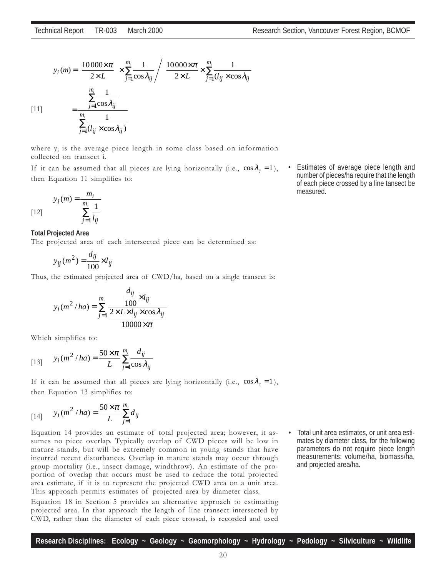$$
y_i(m) = \left(\frac{10000 \times \pi}{2 \times L}\right) \times \sum_{j=1}^{m_i} \frac{1}{\cos \lambda_{ij}} \left/ \left(\frac{10000 \times \pi}{2 \times L} \times \sum_{j=1}^{m_i} \frac{1}{(l_{ij} \times \cos \lambda_{ij}}\right)\right)
$$
  
\n[11] 
$$
= \frac{\sum_{j=1}^{m_i} \frac{1}{\cos \lambda_{ij}}}{\sum_{j=1}^{m_i} (l_{ij} \times \cos \lambda_{ij})}
$$

where  $y_i$  is the average piece length in some class based on information collected on transect i.

If it can be assumed that all pieces are lying horizontally (i.e.,  $\cos \lambda_{ii} = 1$ ), then Equation 11 simplifies to:

$$
y_i(m) = \frac{m_i}{\sum_{j=1}^{m_i} \frac{1}{l_{ij}}}
$$

#### **Total Projected Area**

The projected area of each intersected piece can be determined as:

*ij*  $i_j(m^2) = \frac{a_{ij}}{100} \times l$ *d*  $y_{ij}(m^2) = \frac{u_{ij}}{100} \times$ 

Thus, the estimated projected area of CWD/ha, based on a single transect is:

$$
y_i(m^2/ha) = \sum_{j=1}^{m_i} \frac{\frac{d_{ij}}{100} \times l_{ij}}{\frac{2 \times L \times l_{ij} \times \cos \lambda_{ij}}{10000 \times \pi}}
$$

Which simplifies to:

[13] 
$$
y_i(m^2 / ha) = \frac{50 \times \pi}{L} \sum_{j=1}^{m_i} \frac{d_{ij}}{\cos \lambda_{ij}}
$$

If it can be assumed that all pieces are lying horizontally (i.e.,  $\cos \lambda_{ij} = 1$ ), then Equation 13 simplifies to:

[14] 
$$
y_i(m^2 / ha) = \frac{50 \times \pi}{L} \sum_{j=1}^{m_i} d_{ij}
$$

Equation 14 provides an estimate of total projected area; however, it assumes no piece overlap. Typically overlap of CWD pieces will be low in mature stands, but will be extremely common in young stands that have incurred recent disturbances. Overlap in mature stands may occur through group mortality (i.e., insect damage, windthrow). An estimate of the proportion of overlap that occurs must be used to reduce the total projected area estimate, if it is to represent the projected CWD area on a unit area. This approach permits estimates of projected area by diameter class.

Equation 18 in Section 5 provides an alternative approach to estimating projected area. In that approach the length of line transect intersected by CWD, rather than the diameter of each piece crossed, is recorded and used • Estimates of average piece length and number of pieces/ha require that the length of each piece crossed by a line tansect be measured.

• Total unit area estimates, or unit area estimates by diameter class, for the following parameters do not require piece length measurements: volume/ha, biomass/ha, and projected area/ha.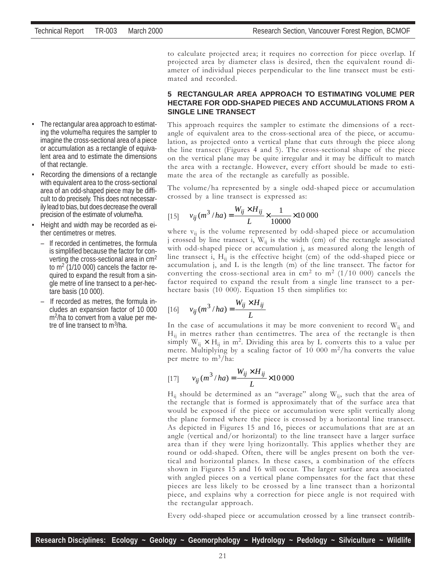**5 RECTANGULAR AREA APPROACH TO ESTIMATING VOLUME PER HECTARE FOR ODD-SHAPED PIECES AND ACCUMULATIONS FROM A SINGLE LINE TRANSECT**

This approach requires the sampler to estimate the dimensions of a rectangle of equivalent area to the cross-sectional area of the piece, or accumulation, as projected onto a vertical plane that cuts through the piece along the line transect (Figures 4 and 5). The cross-sectional shape of the piece on the vertical plane may be quite irregular and it may be difficult to match the area with a rectangle. However, every effort should be made to estimate the area of the rectangle as carefully as possible.

The volume/ha represented by a single odd-shaped piece or accumulation crossed by a line transect is expressed as:

to calculate projected area; it requires no correction for piece overlap. If projected area by diameter class is desired, then the equivalent round diameter of individual pieces perpendicular to the line transect must be esti-

[15] 
$$
v_{ij}(m^3/ha) = \frac{W_{ij} \times H_{ij}}{L} \times \frac{1}{10000} \times 10000
$$

where  $v_{ij}$  is the volume represented by odd-shaped piece or accumulation j crossed by line transect i,  $W_{ij}$  is the width (cm) of the rectangle associated with odd-shaped piece or accumulation j, as measured along the length of line transect i,  $H_{ii}$  is the effective height (cm) of the odd-shaped piece or accumulation j, and L is the length (m) of the line transect. The factor for converting the cross-sectional area in cm<sup>2</sup> to m<sup>2</sup> (1/10 000) cancels the factor required to expand the result from a single line transect to a perhectare basis (10 000). Equation 15 then simplifies to:

$$
[16] \qquad v_{ij}(m^3/ha) = \frac{W_{ij} \times H_{ij}}{L}
$$

mated and recorded.

In the case of accumulations it may be more convenient to record  $W_{ij}$  and  $H_{ii}$  in metres rather than centimetres. The area of the rectangle is then simply  $W_{ii} \times H_{ii}$  in m<sup>2</sup>. Dividing this area by L converts this to a value per metre. Multiplying by a scaling factor of 10 000  $m^2/ha$  converts the value per metre to  $m^3/ha$ :

[17] 
$$
v_{ij}(m^3/ha) = \frac{W_{ij} \times H_{ij}}{L} \times 10000
$$

 $H_{ij}$  should be determined as an "average" along  $W_{ij}$ , such that the area of the rectangle that is formed is approximately that of the surface area that would be exposed if the piece or accumulation were split vertically along the plane formed where the piece is crossed by a horizontal line transect. As depicted in Figures 15 and 16, pieces or accumulations that are at an angle (vertical and/or horizontal) to the line transect have a larger surface area than if they were lying horizontally. This applies whether they are round or odd-shaped. Often, there will be angles present on both the vertical and horizontal planes. In these cases, a combination of the effects shown in Figures 15 and 16 will occur. The larger surface area associated with angled pieces on a vertical plane compensates for the fact that these pieces are less likely to be crossed by a line transect than a horizontal piece, and explains why a correction for piece angle is not required with the rectangular approach.

Every odd-shaped piece or accumulation crossed by a line transect contrib-

- The rectangular area approach to estimating the volume/ha requires the sampler to imagine the cross-sectional area of a piece or accumulation as a rectangle of equivalent area and to estimate the dimensions of that rectangle.
- Recording the dimensions of a rectangle with equivalent area to the cross-sectional area of an odd-shaped piece may be difficult to do precisely. This does not necessarily lead to bias, but does decrease the overall precision of the estimate of volume/ha.
- Height and width may be recorded as either centimetres or metres.
	- If recorded in centimetres, the formula is simplified because the factor for converting the cross-sectional area in cm2 to  $m<sup>2</sup>$  (1/10 000) cancels the factor required to expand the result from a single metre of line transect to a per-hectare basis (10 000).
	- If recorded as metres, the formula includes an expansion factor of 10 000 m<sup>2</sup>/ha to convert from a value per metre of line transect to m3/ha.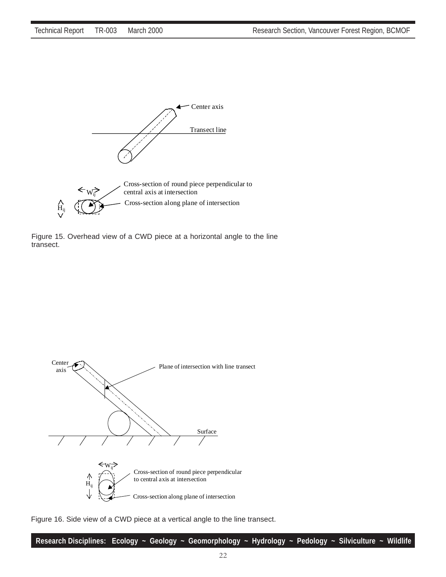

Figure 15. Overhead view of a CWD piece at a horizontal angle to the line transect.



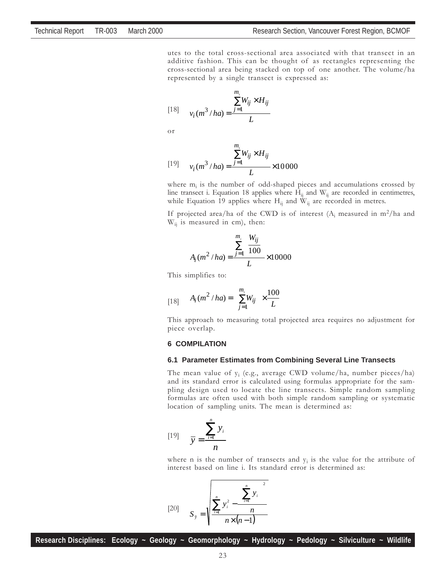utes to the total cross-sectional area associated with that transect in an additive fashion. This can be thought of as rectangles representing the cross-sectional area being stacked on top of one another. The volume/ha represented by a single transect is expressed as:

$$
[18] \qquad v_i(m^3/ha) = \frac{\sum_{j=1}^{m_i} W_{ij} \times H_{ij}}{L}
$$

or

[19] 
$$
v_i(m^3/ha) = \frac{\sum_{j=1}^{m_i} W_{ij} \times H_{ij}}{L} \times 10000
$$

where  $m_i$  is the number of odd-shaped pieces and accumulations crossed by line transect i. Equation 18 applies where  $H_{ii}$  and  $W_{ii}$  are recorded in centimetres, while Equation 19 applies where  $H_{ij}$  and  $W_{ij}$  are recorded in metres.

If projected area/ha of the CWD is of interest  $(A_i$  measured in m<sup>2</sup>/ha and  $W_{ii}$  is measured in cm), then:

$$
A_i(m^2/ha) = \frac{\sum_{j=1}^{m_i} \left(\frac{W_{ij}}{100}\right)}{L} \times 10000
$$

This simplifies to:

$$
[18] \qquad A_i(m^2/ha) = \left(\sum_{j=1}^{m_i} W_{ij}\right) \times \frac{100}{L}
$$

This approach to measuring total projected area requires no adjustment for piece overlap.

#### **6 COMPILATION**

#### **6.1 Parameter Estimates from Combining Several Line Transects**

The mean value of  $y_i$  (e.g., average CWD volume/ha, number pieces/ha) and its standard error is calculated using formulas appropriate for the sampling design used to locate the line transects. Simple random sampling formulas are often used with both simple random sampling or systematic location of sampling units. The mean is determined as:

$$
[19] \qquad \overline{y} = \frac{\sum_{i=1}^{n} y_i}{n}
$$

where n is the number of transects and  $y_i$  is the value for the attribute of interest based on line i. Its standard error is determined as:

[20] 
$$
S_{\bar{y}} = \sqrt{\frac{\sum_{i=1}^{n} y_i^2 - \left(\sum_{i=1}^{n} y_i\right)^2}{n \times (n-1)}}
$$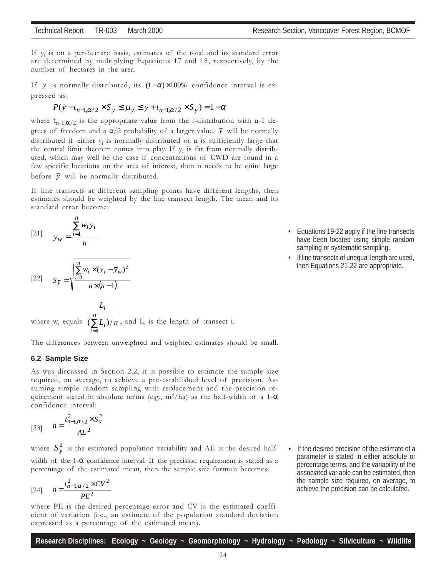If  $y_i$  is on a per-hectare basis, estimates of the total and its standard error are determined by multiplying Equations 17 and 18, respectively, by the number of hectares in the area.

If  $\bar{y}$  is normally distributed, its  $(1-\alpha) \times 100\%$  confidence interval is expressed as:

$$
P(\overline{y} - t_{n-1,\alpha/2} \times S_{\overline{y}} \le \mu_y \le \overline{y} + t_{n-1,\alpha/2} \times S_{\overline{y}}) = 1 - \alpha
$$

where  $t_{n-1,\alpha/2}$  is the appropriate value from the t-distribution with n-1 degrees of freedom and a  $\alpha/2$  probability of a larger value.  $\bar{y}$  will be normally distributed if either  $y_i$  is normally distributed or n is sufficiently large that the central limit theorem comes into play. If  $y_i$  is far from normally distributed, which may well be the case if concentrations of CWD are found in a few specific locations on the area of interest, then n needs to be quite large before  $\bar{y}$  will be normally distributed.

If line transects at different sampling points have different lengths, then estimates should be weighted by the line transect length. The mean and its standard error become:

$$
[21] \qquad \overline{y}_w = \frac{\sum_{i=1}^n w_i y_i}{n}
$$

$$
[22] \qquad S_{\overline{y}} = \sqrt{\frac{\sum_{i=1}^{n} w_i \times (y_i - \overline{y}_w)^2}{n \times (n-1)}}
$$

where  $w_i$  equals  $(\sum$ = *n i i i*  $L_i$ )/n *L* 1  $(\sum L_i)/n$  , and  $L_i$  is the length of transect i.

The differences between unweighted and weighted estimates should be small.

#### **6.2 Sample Size**

As was discussed in Section 2.2, it is possible to estimate the sample size required, on average, to achieve a pre-established level of precision. Assuming simple random sampling with replacement and the precision requirement stated in absolute terms (e.g.,  $m^3/ha$ ) as the half-width of a 1- $\alpha$ confidence interval:

[23] 
$$
n = \frac{t_{n-1,\alpha/2}^2 \times S_y^2}{AE^2}
$$

where  $S_y^2$  is the estimated population variability and AE is the desired halfwidth of the 1-α confidence interval. If the precision requirement is stated as a percentage of the estimated mean, then the sample size formula becomes:

[24] 
$$
n = \frac{t_{n-1,\alpha/2}^2 \times CV^2}{PE^2}
$$

where PE is the desired percentage error and CV is the estimated coefficient of variation (i.e., an estimate of the population standard deviation expressed as a percentage of the estimated mean).

If the desired precision of the estimate of a parameter is stated in either absolute or percentage terms, and the variability of the associated variable can be estimated, then the sample size required, on average, to achieve the precision can be calculated.

- Equations 19-22 apply if the line transects have been located using simple random sampling or systematic sampling.
- If line transects of unequal length are used, then Equations 21-22 are appropriate.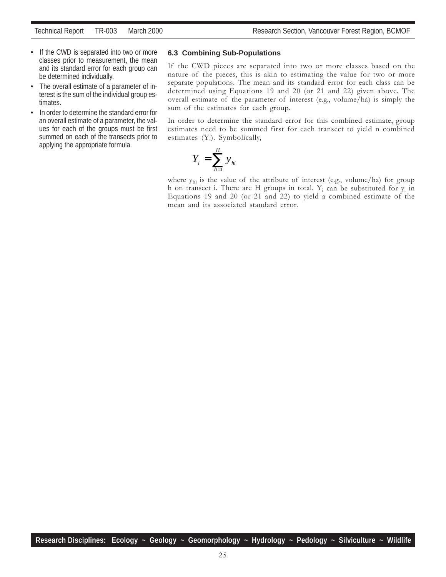- If the CWD is separated into two or more classes prior to measurement, the mean and its standard error for each group can be determined individually.
- The overall estimate of a parameter of interest is the sum of the individual group estimates.
- In order to determine the standard error for an overall estimate of a parameter, the values for each of the groups must be first summed on each of the transects prior to applying the appropriate formula.

#### **6.3 Combining Sub-Populations**

If the CWD pieces are separated into two or more classes based on the nature of the pieces, this is akin to estimating the value for two or more separate populations. The mean and its standard error for each class can be determined using Equations 19 and 20 (or 21 and 22) given above. The overall estimate of the parameter of interest (e.g., volume/ha) is simply the sum of the estimates for each group.

In order to determine the standard error for this combined estimate, group estimates need to be summed first for each transect to yield n combined estimates  $(Y_i)$ . Symbolically,

$$
Y_i = \sum_{h=1}^H y_{hi}
$$

where  $y_{hi}$  is the value of the attribute of interest (e.g., volume/ha) for group h on transect i. There are H groups in total.  $Y_i$  can be substituted for  $y_i$  in Equations 19 and 20 (or 21 and 22) to yield a combined estimate of the mean and its associated standard error.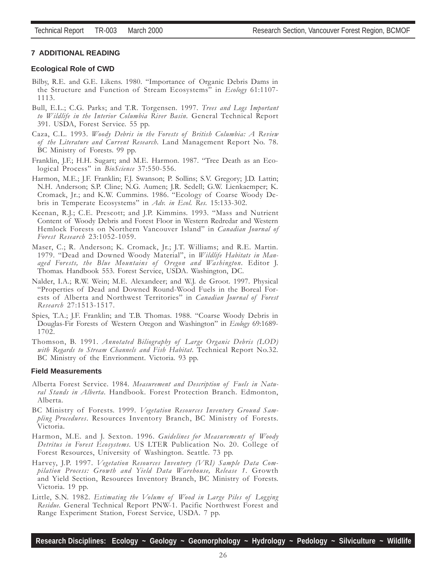#### **7 ADDITIONAL READING**

#### **Ecological Role of CWD**

- Bilby, R.E. and G.E. Likens. 1980. "Importance of Organic Debris Dams in the Structure and Function of Stream Ecosystems" in *Ecology* 61:1107-1113.
- Bull, E.L.; C.G. Parks; and T.R. Torgensen. 1997. Trees and Logs Important to Wildlife in the Interior Columbia River Basin. General Technical Report 391. USDA, Forest Service. 55 pp.
- Caza, C.L. 1993. Woody Debris in the Forests of British Columbia: A Review of the Literature and Current Research. Land Management Report No. 78. BC Ministry of Forests. 99 pp.
- Franklin, J.F.; H.H. Sugart; and M.E. Harmon. 1987. "Tree Death as an Ecological Process" in *BioScience* 37:550-556.
- Harmon, M.E.; J.F. Franklin; F.J. Swanson; P. Sollins; S.V. Gregory; J.D. Lattin; N.H. Anderson; S.P. Cline; N.G. Aumen; J.R. Sedell; G.W. Lienkaemper; K. Cromack, Jr.; and K.W. Cummins. 1986. "Ecology of Coarse Woody Debris in Temperate Ecosystems" in Adv. in Ecol. Res. 15:133-302.
- Keenan, R.J.; C.E. Prescott; and J.P. Kimmins. 1993. "Mass and Nutrient Content of Woody Debris and Forest Floor in Western Redredar and Western Hemlock Forests on Northern Vancouver Island" in Canadian Journal of Forest Research 23:1052-1059.
- Maser, C.; R. Anderson; K. Cromack, Jr.; J.T. Williams; and R.E. Martin. 1979. "Dead and Downed Woody Material", in Wildlife Habitats in Managed Forests, the Blue Mountains of Oregon and Washington. Editor J. Thomas. Handbook 553. Forest Service, USDA. Washington, DC.
- Nalder, I.A.; R.W. Wein; M.E. Alexandeer; and W.J. de Groot. 1997. Physical ìProperties of Dead and Downed Round-Wood Fuels in the Boreal Forests of Alberta and Northwest Territories" in *Canadian Journal of Forest* Research 27:1513-1517.
- Spies, T.A.; J.F. Franklin; and T.B. Thomas. 1988. "Coarse Woody Debris in Douglas-Fir Forests of Western Oregon and Washington" in Ecology 69:1689-1702.
- Thomson, B. 1991. Annotated Biliography of Large Organic Debris (LOD) with Regards to Stream Channels and Fish Habitat. Technical Report No.32. BC Ministry of the Envrionment. Victoria. 93 pp.

#### **Field Measurements**

- Alberta Forest Service. 1984. Measurement and Description of Fuels in Natural Stands in Alberta. Handbook. Forest Protection Branch. Edmonton, Alberta.
- BC Ministry of Forests. 1999. Vegetation Resources Inventory Ground Sampling Procedures. Resources Inventory Branch, BC Ministry of Forests. Victoria.
- Harmon, M.E. and J. Sexton. 1996. Guidelines for Measurements of Woody Detritus in Forest Ecosystems. US LTER Publication No. 20. College of Forest Resources, University of Washington. Seattle. 73 pp.
- Harvey, J.P. 1997. Vegetation Resources Inventory (VRI) Sample Data Compilation Process: Growth and Yield Data Warehouse, Release 1. Growth and Yield Section, Resources Inventory Branch, BC Ministry of Forests. Victoria. 19 pp.
- Little, S.N. 1982. Estimating the Volume of Wood in Large Piles of Logging Residue. General Technical Report PNW-1. Pacific Northwest Forest and Range Experiment Station, Forest Service, USDA. 7 pp.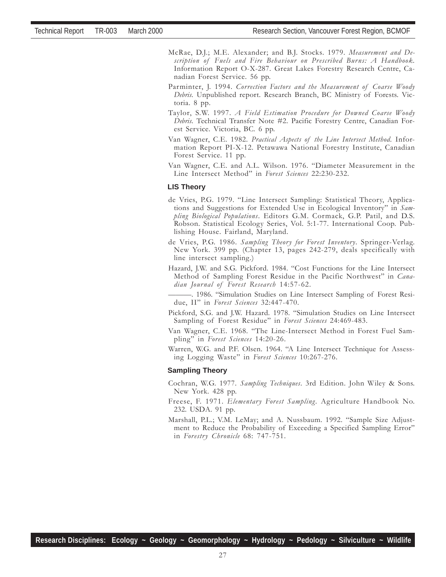- McRae, D.J.; M.E. Alexander; and B.J. Stocks. 1979. Measurement and Description of Fuels and Fire Behaviour on Prescribed Burns: A Handbook. Information Report O-X-287. Great Lakes Forestry Research Centre, Canadian Forest Service. 56 pp.
- Parminter, J. 1994. Correction Factors and the Measurement of Coarse Woody Debris. Unpublished report. Research Branch, BC Ministry of Forests. Victoria. 8 pp.
- Taylor, S.W. 1997. A Field Estimation Procedure for Downed Coarse Woody Debris. Technical Transfer Note #2. Pacific Forestry Centre, Canadian Forest Service. Victoria, BC. 6 pp.
- Van Wagner, C.E. 1982. Practical Aspects of the Line Intersect Method. Information Report PI-X-12. Petawawa National Forestry Institute, Canadian Forest Service. 11 pp.
- Van Wagner, C.E. and A.L. Wilson. 1976. "Diameter Measurement in the Line Intersect Method" in Forest Sciences 22:230-232.

#### **LIS Theory**

- de Vries, P.G. 1979. "Line Intersect Sampling: Statistical Theory, Applications and Suggestions for Extended Use in Ecological Inventory" in Sampling Biological Populations. Editors G.M. Cormack, G.P. Patil, and D.S. Robson. Statistical Ecology Series, Vol. 5:1-77. International Coop. Publishing House. Fairland, Maryland.
- de Vries, P.G. 1986. Sampling Theory for Forest Inventory. Springer-Verlag. New York. 399 pp. (Chapter 13, pages 242-279, deals specifically with line intersect sampling.)
- Hazard, J.W. and S.G. Pickford. 1984. "Cost Functions for the Line Intersect Method of Sampling Forest Residue in the Pacific Northwest" in Canadian Journal of Forest Research 14:57-62.

–. 1986. "Simulation Studies on Line Intersect Sampling of Forest Residue, II" in Forest Sciences 32:447-470.

- Pickford, S.G. and J.W. Hazard. 1978. "Simulation Studies on Line Intersect Sampling of Forest Residue" in Forest Sciences 24:469-483.
- Van Wagner, C.E. 1968. "The Line-Intersect Method in Forest Fuel Sampling" in Forest Sciences 14:20-26.
- Warren, W.G. and P.F. Olsen. 1964. "A Line Intersect Technique for Assessing Logging Waste" in Forest Sciences 10:267-276.

#### **Sampling Theory**

- Cochran, W.G. 1977. Sampling Techniques. 3rd Edition. John Wiley & Sons. New York. 428 pp.
- Freese, F. 1971. Elementary Forest Sampling. Agriculture Handbook No. 232. USDA. 91 pp.
- Marshall, P.L.; V.M. LeMay; and A. Nussbaum. 1992. "Sample Size Adjustment to Reduce the Probability of Exceeding a Specified Sampling Error" in Forestry Chronicle 68: 747-751.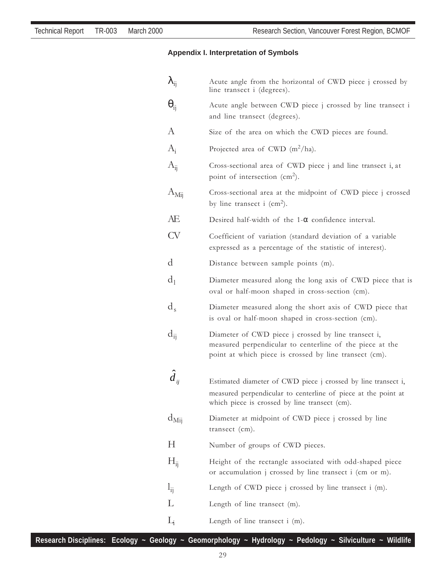#### **Appendix I. Interpretation of Symbols**

| Acute angle from the horizontal of CWD piece j crossed by<br>line transect i (degrees).                                                                                         |
|---------------------------------------------------------------------------------------------------------------------------------------------------------------------------------|
| Acute angle between CWD piece j crossed by line transect i<br>and line transect (degrees).                                                                                      |
| Size of the area on which the CWD pieces are found.                                                                                                                             |
| Projected area of CWD $(m^2/ha)$ .                                                                                                                                              |
| Cross-sectional area of CWD piece j and line transect i, at<br>point of intersection $(cm2)$ .                                                                                  |
| Cross-sectional area at the midpoint of CWD piece j crossed<br>by line transect i $(cm2)$ .                                                                                     |
| Desired half-width of the $1-\alpha$ confidence interval.                                                                                                                       |
| Coefficient of variation (standard deviation of a variable<br>expressed as a percentage of the statistic of interest).                                                          |
| Distance between sample points (m).                                                                                                                                             |
| Diameter measured along the long axis of CWD piece that is<br>oval or half-moon shaped in cross-section (cm).                                                                   |
|                                                                                                                                                                                 |
| Diameter measured along the short axis of CWD piece that<br>is oval or half-moon shaped in cross-section (cm).                                                                  |
| Diameter of CWD piece j crossed by line transect i,<br>measured perpendicular to centerline of the piece at the<br>point at which piece is crossed by line transect (cm).       |
|                                                                                                                                                                                 |
| Estimated diameter of CWD piece j crossed by line transect i,<br>measured perpendicular to centerline of piece at the point at<br>which piece is crossed by line transect (cm). |
| Diameter at midpoint of CWD piece j crossed by line<br>transect $(cm).$                                                                                                         |
| Number of groups of CWD pieces.                                                                                                                                                 |
| Height of the rectangle associated with odd-shaped piece<br>or accumulation j crossed by line transect i (cm or m).                                                             |
| Length of CWD piece j crossed by line transect i (m).                                                                                                                           |
| Length of line transect (m).                                                                                                                                                    |
|                                                                                                                                                                                 |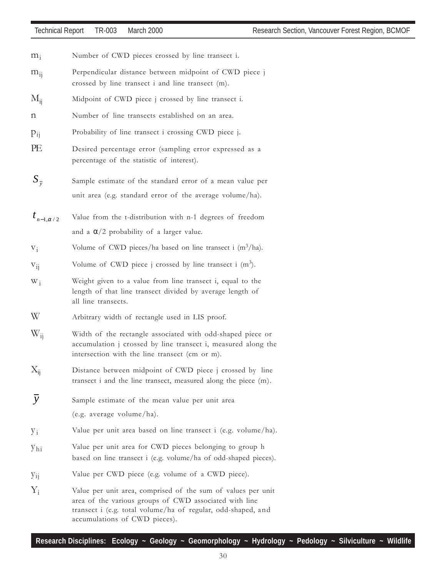- $m_i$  Number of CWD pieces crossed by line transect i.
- m<sub>ii</sub> Perpendicular distance between midpoint of CWD piece j crossed by line transect i and line transect (m).
- $M_{ii}$  Midpoint of CWD piece j crossed by line transect i.
- n Number of line transects established on an area.
- pij Probability of line transect i crossing CWD piece j.
- PE Desired percentage error (sampling error expressed as a percentage of the statistic of interest).
- $S_{\frac{1}{v}}$ Sample estimate of the standard error of a mean value per unit area (e.g. standard error of the average volume/ha).
- $t_{n-1,\alpha/2}$  Value from the t-distribution with n-1 degrees of freedom and a  $\alpha/2$  probability of a larger value.
- $V_i$  Volume of CWD pieces/ha based on line transect i  $(m^3/ha)$ .
- $V_{ii}$  Volume of CWD piece j crossed by line transect i (m<sup>3</sup>).
- W<sub>i</sub> Weight given to a value from line transect i, equal to the length of that line transect divided by average length of all line transects.
- W Arbitrary width of rectangle used in LIS proof.
- W<sub>ij</sub> Width of the rectangle associated with odd-shaped piece or accumulation j crossed by line transect i, measured along the intersection with the line transect (cm or m).
- $X_{ii}$  Distance between midpoint of CWD piece j crossed by line transect i and the line transect, measured along the piece (m).
- $\overline{y}$  Sample estimate of the mean value per unit area (e.g. average volume/ha).
- y<sub>i</sub> Value per unit area based on line transect i (e.g. volume/ha).
- yhi Value per unit area for CWD pieces belonging to group h based on line transect i (e.g. volume/ha of odd-shaped pieces).
- yij Value per CWD piece (e.g. volume of a CWD piece).
- $Y_i$  Value per unit area, comprised of the sum of values per unit area of the various groups of CWD associated with line transect i (e.g. total volume/ha of regular, odd-shaped, and accumulations of CWD pieces).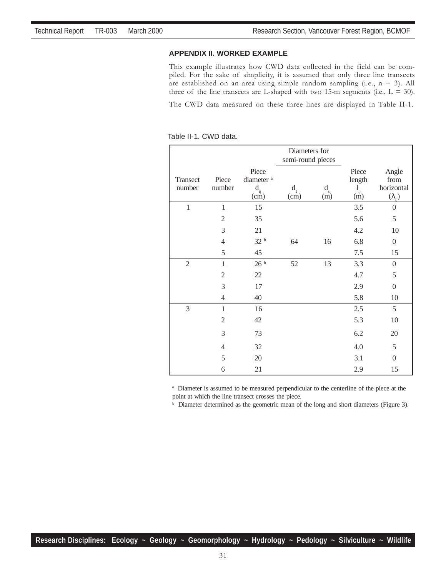#### **APPENDIX II. WORKED EXAMPLE**

This example illustrates how CWD data collected in the field can be compiled. For the sake of simplicity, it is assumed that only three line transects are established on an area using simple random sampling (i.e.,  $n = 3$ ). All three of the line transects are L-shaped with two 15-m segments (i.e.,  $L = 30$ ).

The CWD data measured on these three lines are displayed in Table II-1.

Table II-1. CWD data.

|                    |                 |                                                    | Diameters for     |                    |                                                |                                                 |  |
|--------------------|-----------------|----------------------------------------------------|-------------------|--------------------|------------------------------------------------|-------------------------------------------------|--|
|                    |                 |                                                    | semi-round pieces |                    |                                                |                                                 |  |
| Transect<br>number | Piece<br>number | Piece<br>diameter <sup>a</sup><br>$d_{ij}$<br>(cm) | $d_{1}$<br>(cm)   | $d_{\rm s}$<br>(m) | Piece<br>length<br>$\mathbf{l}_{ij}$<br>$\sin$ | Angle<br>from<br>horizontal<br>$(\lambda_{ij})$ |  |
| $\,1\,$            | $\,1$           | 15                                                 |                   |                    | 3.5                                            | $\boldsymbol{0}$                                |  |
|                    | $\sqrt{2}$      | 35                                                 |                   |                    | 5.6                                            | 5                                               |  |
|                    | 3               | 21                                                 |                   |                    | 4.2                                            | 10                                              |  |
|                    | $\overline{4}$  | $32\,$ $^{\rm b}$                                  | 64                | 16                 | 6.8                                            | $\boldsymbol{0}$                                |  |
|                    | 5               | 45                                                 |                   |                    | 7.5                                            | 15                                              |  |
| $\mathfrak{2}$     | $\mathbf{1}$    | 26 <sup>b</sup>                                    | 52                | 13                 | 3.3                                            | $\boldsymbol{0}$                                |  |
|                    | $\mathfrak{2}$  | 22                                                 |                   |                    | 4.7                                            | 5                                               |  |
|                    | 3               | 17                                                 |                   |                    | 2.9                                            | $\boldsymbol{0}$                                |  |
|                    | $\overline{4}$  | 40                                                 |                   |                    | 5.8                                            | 10                                              |  |
| 3                  | $\mathbf{1}$    | 16                                                 |                   |                    | 2.5                                            | 5                                               |  |
|                    | $\mathfrak{2}$  | 42                                                 |                   |                    | 5.3                                            | 10                                              |  |
|                    | 3               | 73                                                 |                   |                    | 6.2                                            | 20                                              |  |
|                    | $\overline{4}$  | 32                                                 |                   |                    | 4.0                                            | 5                                               |  |
|                    | 5               | 20                                                 |                   |                    | 3.1                                            | $\boldsymbol{0}$                                |  |
|                    | 6               | 21                                                 |                   |                    | 2.9                                            | 15                                              |  |

<sup>a</sup> Diameter is assumed to be measured perpendicular to the centerline of the piece at the point at which the line transect crosses the piece.

**b** Diameter determined as the geometric mean of the long and short diameters (Figure 3).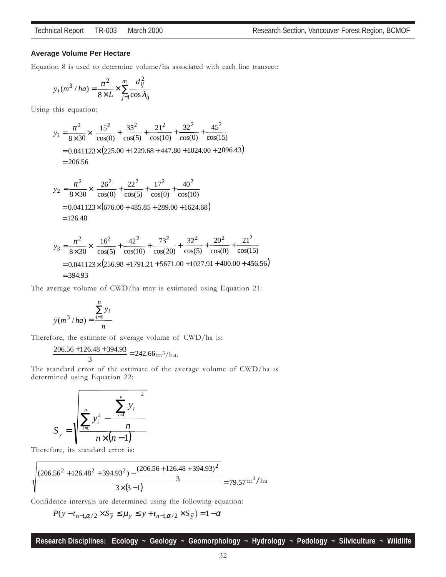#### **Average Volume Per Hectare**

Equation 8 is used to determine volume/ha associated with each line transect:

$$
y_i(m^3/ha) = \frac{\pi^2}{8 \times L} \times \sum_{j=1}^{m_i} \frac{d_{ij}^2}{\cos \lambda_{ij}}
$$

Using this equation:

$$
y_1 = \frac{\pi^2}{8 \times 30} \times \left( \frac{15^2}{\cos(0)} + \frac{35^2}{\cos(5)} + \frac{21^2}{\cos(10)} + \frac{32^2}{\cos(0)} + \frac{45^2}{\cos(15)} \right)
$$
  
= 0.041123×(225.00 + 1229.68 + 447.80 + 1024.00 + 2096.43)  
= 206.56

$$
y_2 = \frac{\pi^2}{8 \times 30} \times \left( \frac{26^2}{\cos(0)} + \frac{22^2}{\cos(5)} + \frac{17^2}{\cos(0)} + \frac{40^2}{\cos(10)} \right)
$$
  
= 0.041123×(676.00 + 485.85 + 289.00 + 1624.68)  
= 126.48

$$
y_3 = \frac{\pi^2}{8 \times 30} \times \left( \frac{16^2}{\cos(5)} + \frac{42^2}{\cos(10)} + \frac{73^2}{\cos(20)} + \frac{32^2}{\cos(5)} + \frac{20^2}{\cos(0)} + \frac{21^2}{\cos(15)} \right)
$$
  
= 0.041123×(256.98 + 1791.21 + 5671.00 + 1027.91 + 400.00 + 456.56)  
= 394.93

The average volume of CWD/ha may is estimated using Equation 21:

$$
\overline{y}(m^3/ha) = \frac{\sum_{i=1}^n y_i}{n}
$$

Therefore, the estimate of average volume of CWD/ha is:

$$
\frac{206.56 + 126.48 + 394.93}{3} = 242.66 \,\mathrm{m}^3/\mathrm{ha}.
$$

The standard error of the estimate of the average volume of CWD/ha is determined using Equation 22:

$$
S_{\overline{y}} = \sqrt{\frac{\sum_{i=1}^{n} y_i^2 - \left(\sum_{i=1}^{n} y_i\right)^2}{n \times (n-1)}}
$$

Therefore, its standard error is:

1

$$
\frac{(206.56^2 + 126.48^2 + 394.93^2) - \frac{(206.56 + 126.48 + 394.93)^2}{3}}{3 \times (3 - 1)} = 79.57 \text{ m}^3/\text{ha}
$$

Confidence intervals are determined using the following equation:

$$
P(\overline{y} - t_{n-1,\alpha/2} \times S_{\overline{y}} \le \mu_y \le \overline{y} + t_{n-1,\alpha/2} \times S_{\overline{y}}) = 1 - \alpha
$$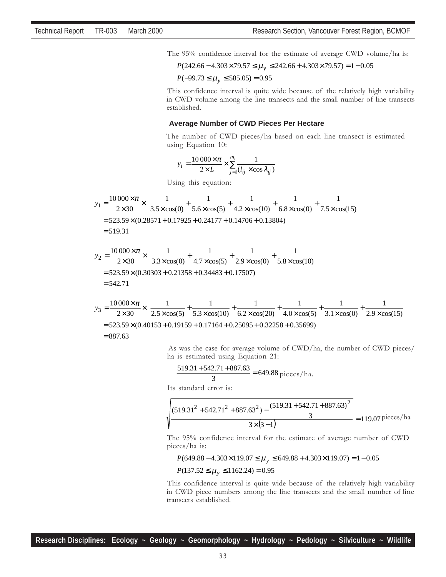The 95% confidence interval for the estimate of average CWD volume/ha is:

$$
P(242.66 - 4.303 \times 79.57 \le \mu_y \le 242.66 + 4.303 \times 79.57) = 1 - 0.05
$$

$$
P(-99.73 \le \mu_y \le 585.05) = 0.95
$$

 This confidence interval is quite wide because of the relatively high variability in CWD volume among the line transects and the small number of line transects established.

#### **Average Number of CWD Pieces Per Hectare**

 The number of CWD pieces/ha based on each line transect is estimated using Equation 10:

$$
y_i = \frac{10000 \times \pi}{2 \times L} \times \sum_{j=1}^{m_i} \frac{1}{(l_{ij} \times \cos \lambda_{ij})}
$$

Using this equation:

$$
y_1 = \frac{10000 \times \pi}{2 \times 30} \times \left( \frac{1}{3.5 \times \cos(0)} + \frac{1}{5.6 \times \cos(5)} + \frac{1}{4.2 \times \cos(10)} + \frac{1}{6.8 \times \cos(0)} + \frac{1}{7.5 \times \cos(15)} \right)
$$
  
= 523.59×(0.28571+0.17925+0.24177+0.14706+0.13804)  
= 519.31  

$$
y_2 = \frac{10000 \times \pi}{2 \times 30} \times \left( \frac{1}{3.3 \times \cos(0)} + \frac{1}{4.7 \times \cos(5)} + \frac{1}{2.9 \times \cos(0)} + \frac{1}{5.8 \times \cos(10)} \right)
$$
  
= 523.59×(0.30303+0.21358+0.34483+0.17507)  
= 542.71  

$$
y_3 = \frac{10000 \times \pi}{2 \times 30} \times \left( \frac{1}{2.5 \times \cos(5)} + \frac{1}{5.3 \times \cos(10)} + \frac{1}{6.2 \times \cos(20)} + \frac{1}{4.0 \times \cos(5)} + \frac{1}{3.1 \times \cos(0)} + \frac{1}{2.9 \times \cos(15)} \right)
$$
  
= 523.59×(0.40153+0.19159+0.17164+0.25095+0.32258+0.35699)  
= 887.63

 As was the case for average volume of CWD/ha, the number of CWD pieces/ ha is estimated using Equation 21:

I I  $\overline{\phantom{a}}$  $\overline{a}$ 

$$
\frac{519.31 + 542.71 + 887.63}{3} = 649.88 \text{ pieces/ha.}
$$

Its standard error is:

$$
\sqrt{\frac{(519.31^2 + 542.71^2 + 887.63^2) - \frac{(519.31 + 542.71 + 887.63)^2}{3}}{3 \times (3 - 1)}} = 119.07 \text{ pieces/ha}
$$

 The 95% confidence interval for the estimate of average number of CWD pieces/ha is:

$$
P(649.88 - 4.303 \times 119.07 \le \mu_y \le 649.88 + 4.303 \times 119.07) = 1 - 0.05
$$

 $P(137.52 \le \mu_y \le 1162.24) = 0.95$ 

 This confidence interval is quite wide because of the relatively high variability in CWD piece numbers among the line transects and the small number of line transects established.